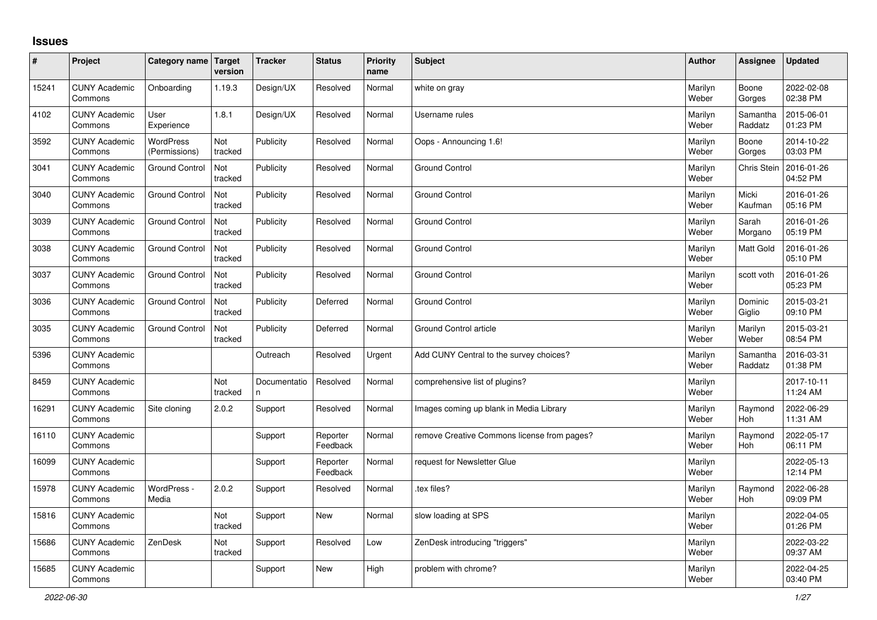## **Issues**

| #     | Project                         | Category name   Target     | version        | <b>Tracker</b>     | <b>Status</b>        | <b>Priority</b><br>name | <b>Subject</b>                              | <b>Author</b>    | Assignee              | <b>Updated</b>         |
|-------|---------------------------------|----------------------------|----------------|--------------------|----------------------|-------------------------|---------------------------------------------|------------------|-----------------------|------------------------|
| 15241 | <b>CUNY Academic</b><br>Commons | Onboarding                 | 1.19.3         | Design/UX          | Resolved             | Normal                  | white on gray                               | Marilyn<br>Weber | Boone<br>Gorges       | 2022-02-08<br>02:38 PM |
| 4102  | <b>CUNY Academic</b><br>Commons | User<br>Experience         | 1.8.1          | Design/UX          | Resolved             | Normal                  | Username rules                              | Marilyn<br>Weber | Samantha<br>Raddatz   | 2015-06-01<br>01:23 PM |
| 3592  | <b>CUNY Academic</b><br>Commons | WordPress<br>(Permissions) | Not<br>tracked | Publicity          | Resolved             | Normal                  | Oops - Announcing 1.6!                      | Marilyn<br>Weber | Boone<br>Gorges       | 2014-10-22<br>03:03 PM |
| 3041  | <b>CUNY Academic</b><br>Commons | <b>Ground Control</b>      | Not<br>tracked | Publicity          | Resolved             | Normal                  | <b>Ground Control</b>                       | Marilyn<br>Weber | <b>Chris Stein</b>    | 2016-01-26<br>04:52 PM |
| 3040  | <b>CUNY Academic</b><br>Commons | <b>Ground Control</b>      | Not<br>tracked | Publicity          | Resolved             | Normal                  | <b>Ground Control</b>                       | Marilyn<br>Weber | Micki<br>Kaufman      | 2016-01-26<br>05:16 PM |
| 3039  | <b>CUNY Academic</b><br>Commons | <b>Ground Control</b>      | Not<br>tracked | Publicity          | Resolved             | Normal                  | <b>Ground Control</b>                       | Marilyn<br>Weber | Sarah<br>Morgano      | 2016-01-26<br>05:19 PM |
| 3038  | <b>CUNY Academic</b><br>Commons | <b>Ground Control</b>      | Not<br>tracked | Publicity          | Resolved             | Normal                  | <b>Ground Control</b>                       | Marilyn<br>Weber | <b>Matt Gold</b>      | 2016-01-26<br>05:10 PM |
| 3037  | <b>CUNY Academic</b><br>Commons | <b>Ground Control</b>      | Not<br>tracked | Publicity          | Resolved             | Normal                  | <b>Ground Control</b>                       | Marilyn<br>Weber | scott voth            | 2016-01-26<br>05:23 PM |
| 3036  | <b>CUNY Academic</b><br>Commons | <b>Ground Control</b>      | Not<br>tracked | Publicity          | Deferred             | Normal                  | <b>Ground Control</b>                       | Marilyn<br>Weber | Dominic<br>Giglio     | 2015-03-21<br>09:10 PM |
| 3035  | <b>CUNY Academic</b><br>Commons | <b>Ground Control</b>      | Not<br>tracked | Publicity          | Deferred             | Normal                  | <b>Ground Control article</b>               | Marilyn<br>Weber | Marilyn<br>Weber      | 2015-03-21<br>08:54 PM |
| 5396  | <b>CUNY Academic</b><br>Commons |                            |                | Outreach           | Resolved             | Urgent                  | Add CUNY Central to the survey choices?     | Marilyn<br>Weber | Samantha<br>Raddatz   | 2016-03-31<br>01:38 PM |
| 8459  | <b>CUNY Academic</b><br>Commons |                            | Not<br>tracked | Documentatio<br>n. | Resolved             | Normal                  | comprehensive list of plugins?              | Marilyn<br>Weber |                       | 2017-10-11<br>11:24 AM |
| 16291 | <b>CUNY Academic</b><br>Commons | Site cloning               | 2.0.2          | Support            | Resolved             | Normal                  | Images coming up blank in Media Library     | Marilyn<br>Weber | Raymond<br><b>Hoh</b> | 2022-06-29<br>11:31 AM |
| 16110 | <b>CUNY Academic</b><br>Commons |                            |                | Support            | Reporter<br>Feedback | Normal                  | remove Creative Commons license from pages? | Marilyn<br>Weber | Raymond<br>Hoh        | 2022-05-17<br>06:11 PM |
| 16099 | <b>CUNY Academic</b><br>Commons |                            |                | Support            | Reporter<br>Feedback | Normal                  | request for Newsletter Glue                 | Marilyn<br>Weber |                       | 2022-05-13<br>12:14 PM |
| 15978 | <b>CUNY Academic</b><br>Commons | WordPress -<br>Media       | 2.0.2          | Support            | Resolved             | Normal                  | tex files?                                  | Marilyn<br>Weber | Raymond<br><b>Hoh</b> | 2022-06-28<br>09:09 PM |
| 15816 | <b>CUNY Academic</b><br>Commons |                            | Not<br>tracked | Support            | <b>New</b>           | Normal                  | slow loading at SPS                         | Marilyn<br>Weber |                       | 2022-04-05<br>01:26 PM |
| 15686 | <b>CUNY Academic</b><br>Commons | ZenDesk                    | Not<br>tracked | Support            | Resolved             | Low                     | ZenDesk introducing "triggers"              | Marilyn<br>Weber |                       | 2022-03-22<br>09:37 AM |
| 15685 | <b>CUNY Academic</b><br>Commons |                            |                | Support            | <b>New</b>           | High                    | problem with chrome?                        | Marilyn<br>Weber |                       | 2022-04-25<br>03:40 PM |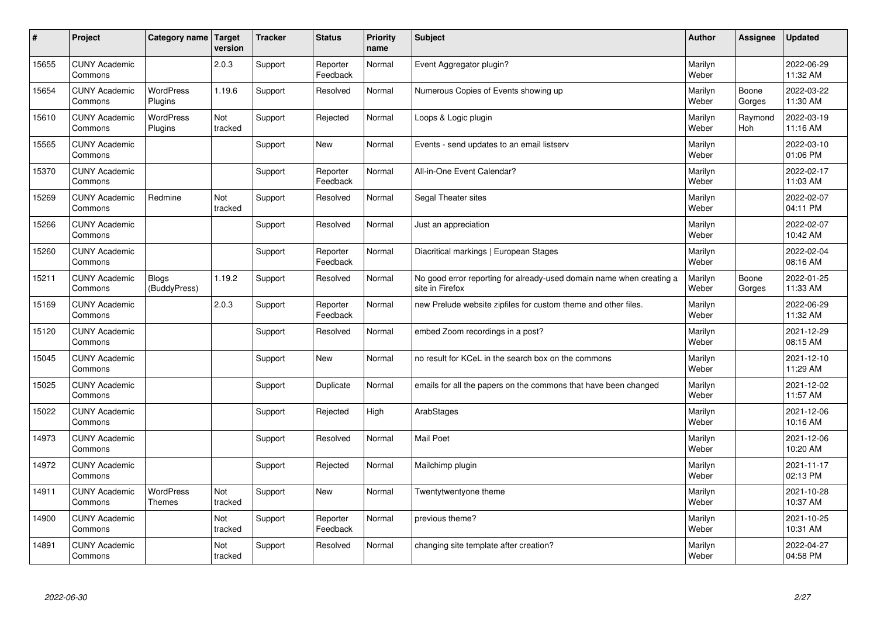| $\sharp$ | Project                         | Category name   Target       | version        | <b>Tracker</b> | <b>Status</b>        | <b>Priority</b><br>name | <b>Subject</b>                                                                          | <b>Author</b>    | <b>Assignee</b> | <b>Updated</b>         |
|----------|---------------------------------|------------------------------|----------------|----------------|----------------------|-------------------------|-----------------------------------------------------------------------------------------|------------------|-----------------|------------------------|
| 15655    | <b>CUNY Academic</b><br>Commons |                              | 2.0.3          | Support        | Reporter<br>Feedback | Normal                  | Event Aggregator plugin?                                                                | Marilyn<br>Weber |                 | 2022-06-29<br>11:32 AM |
| 15654    | <b>CUNY Academic</b><br>Commons | <b>WordPress</b><br>Plugins  | 1.19.6         | Support        | Resolved             | Normal                  | Numerous Copies of Events showing up                                                    | Marilyn<br>Weber | Boone<br>Gorges | 2022-03-22<br>11:30 AM |
| 15610    | <b>CUNY Academic</b><br>Commons | <b>WordPress</b><br>Plugins  | Not<br>tracked | Support        | Rejected             | Normal                  | Loops & Logic plugin                                                                    | Marilyn<br>Weber | Raymond<br>Hoh  | 2022-03-19<br>11:16 AM |
| 15565    | <b>CUNY Academic</b><br>Commons |                              |                | Support        | <b>New</b>           | Normal                  | Events - send updates to an email listserv                                              | Marilyn<br>Weber |                 | 2022-03-10<br>01:06 PM |
| 15370    | <b>CUNY Academic</b><br>Commons |                              |                | Support        | Reporter<br>Feedback | Normal                  | All-in-One Event Calendar?                                                              | Marilyn<br>Weber |                 | 2022-02-17<br>11:03 AM |
| 15269    | <b>CUNY Academic</b><br>Commons | Redmine                      | Not<br>tracked | Support        | Resolved             | Normal                  | Segal Theater sites                                                                     | Marilyn<br>Weber |                 | 2022-02-07<br>04:11 PM |
| 15266    | <b>CUNY Academic</b><br>Commons |                              |                | Support        | Resolved             | Normal                  | Just an appreciation                                                                    | Marilyn<br>Weber |                 | 2022-02-07<br>10:42 AM |
| 15260    | <b>CUNY Academic</b><br>Commons |                              |                | Support        | Reporter<br>Feedback | Normal                  | Diacritical markings   European Stages                                                  | Marilyn<br>Weber |                 | 2022-02-04<br>08:16 AM |
| 15211    | <b>CUNY Academic</b><br>Commons | <b>Blogs</b><br>(BuddyPress) | 1.19.2         | Support        | Resolved             | Normal                  | No good error reporting for already-used domain name when creating a<br>site in Firefox | Marilyn<br>Weber | Boone<br>Gorges | 2022-01-25<br>11:33 AM |
| 15169    | <b>CUNY Academic</b><br>Commons |                              | 2.0.3          | Support        | Reporter<br>Feedback | Normal                  | new Prelude website zipfiles for custom theme and other files.                          | Marilyn<br>Weber |                 | 2022-06-29<br>11:32 AM |
| 15120    | <b>CUNY Academic</b><br>Commons |                              |                | Support        | Resolved             | Normal                  | embed Zoom recordings in a post?                                                        | Marilyn<br>Weber |                 | 2021-12-29<br>08:15 AM |
| 15045    | <b>CUNY Academic</b><br>Commons |                              |                | Support        | New                  | Normal                  | no result for KCeL in the search box on the commons                                     | Marilyn<br>Weber |                 | 2021-12-10<br>11:29 AM |
| 15025    | <b>CUNY Academic</b><br>Commons |                              |                | Support        | Duplicate            | Normal                  | emails for all the papers on the commons that have been changed                         | Marilyn<br>Weber |                 | 2021-12-02<br>11:57 AM |
| 15022    | <b>CUNY Academic</b><br>Commons |                              |                | Support        | Rejected             | High                    | ArabStages                                                                              | Marilyn<br>Weber |                 | 2021-12-06<br>10:16 AM |
| 14973    | <b>CUNY Academic</b><br>Commons |                              |                | Support        | Resolved             | Normal                  | <b>Mail Poet</b>                                                                        | Marilyn<br>Weber |                 | 2021-12-06<br>10:20 AM |
| 14972    | <b>CUNY Academic</b><br>Commons |                              |                | Support        | Rejected             | Normal                  | Mailchimp plugin                                                                        | Marilyn<br>Weber |                 | 2021-11-17<br>02:13 PM |
| 14911    | <b>CUNY Academic</b><br>Commons | WordPress<br>Themes          | Not<br>tracked | Support        | New                  | Normal                  | Twentytwentyone theme                                                                   | Marilyn<br>Weber |                 | 2021-10-28<br>10:37 AM |
| 14900    | <b>CUNY Academic</b><br>Commons |                              | Not<br>tracked | Support        | Reporter<br>Feedback | Normal                  | previous theme?                                                                         | Marilyn<br>Weber |                 | 2021-10-25<br>10:31 AM |
| 14891    | <b>CUNY Academic</b><br>Commons |                              | Not<br>tracked | Support        | Resolved             | Normal                  | changing site template after creation?                                                  | Marilyn<br>Weber |                 | 2022-04-27<br>04:58 PM |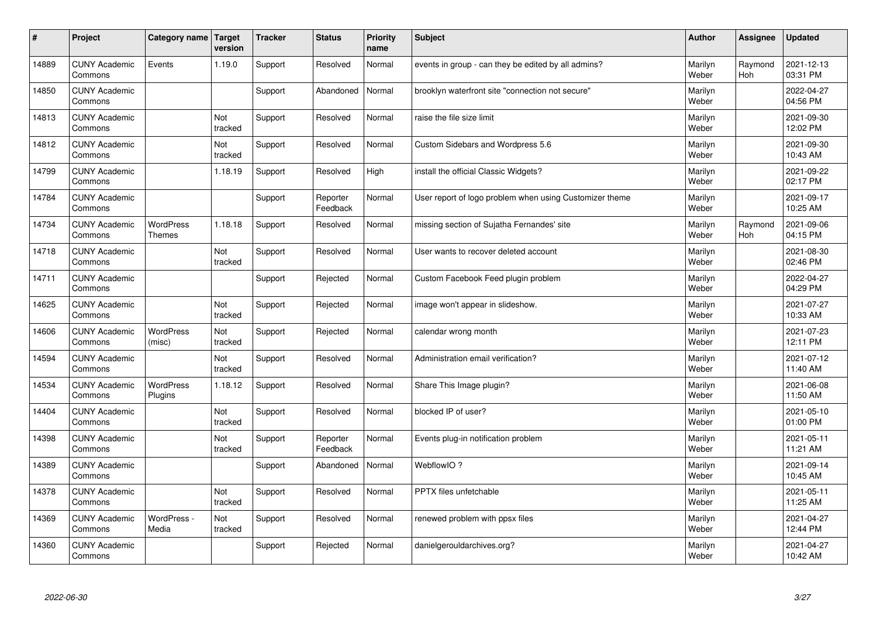| $\pmb{\#}$ | Project                         | Category name                     | Target<br>version | <b>Tracker</b> | <b>Status</b>        | <b>Priority</b><br>name | <b>Subject</b>                                          | <b>Author</b>    | Assignee              | <b>Updated</b>         |
|------------|---------------------------------|-----------------------------------|-------------------|----------------|----------------------|-------------------------|---------------------------------------------------------|------------------|-----------------------|------------------------|
| 14889      | <b>CUNY Academic</b><br>Commons | Events                            | 1.19.0            | Support        | Resolved             | Normal                  | events in group - can they be edited by all admins?     | Marilyn<br>Weber | Raymond<br><b>Hoh</b> | 2021-12-13<br>03:31 PM |
| 14850      | <b>CUNY Academic</b><br>Commons |                                   |                   | Support        | Abandoned            | Normal                  | brooklyn waterfront site "connection not secure"        | Marilyn<br>Weber |                       | 2022-04-27<br>04:56 PM |
| 14813      | <b>CUNY Academic</b><br>Commons |                                   | Not<br>tracked    | Support        | Resolved             | Normal                  | raise the file size limit                               | Marilyn<br>Weber |                       | 2021-09-30<br>12:02 PM |
| 14812      | <b>CUNY Academic</b><br>Commons |                                   | Not<br>tracked    | Support        | Resolved             | Normal                  | Custom Sidebars and Wordpress 5.6                       | Marilyn<br>Weber |                       | 2021-09-30<br>10:43 AM |
| 14799      | <b>CUNY Academic</b><br>Commons |                                   | 1.18.19           | Support        | Resolved             | High                    | install the official Classic Widgets?                   | Marilyn<br>Weber |                       | 2021-09-22<br>02:17 PM |
| 14784      | <b>CUNY Academic</b><br>Commons |                                   |                   | Support        | Reporter<br>Feedback | Normal                  | User report of logo problem when using Customizer theme | Marilyn<br>Weber |                       | 2021-09-17<br>10:25 AM |
| 14734      | <b>CUNY Academic</b><br>Commons | <b>WordPress</b><br><b>Themes</b> | 1.18.18           | Support        | Resolved             | Normal                  | missing section of Sujatha Fernandes' site              | Marilyn<br>Weber | Raymond<br>Hoh        | 2021-09-06<br>04:15 PM |
| 14718      | <b>CUNY Academic</b><br>Commons |                                   | Not<br>tracked    | Support        | Resolved             | Normal                  | User wants to recover deleted account                   | Marilyn<br>Weber |                       | 2021-08-30<br>02:46 PM |
| 14711      | <b>CUNY Academic</b><br>Commons |                                   |                   | Support        | Rejected             | Normal                  | Custom Facebook Feed plugin problem                     | Marilyn<br>Weber |                       | 2022-04-27<br>04:29 PM |
| 14625      | <b>CUNY Academic</b><br>Commons |                                   | Not<br>tracked    | Support        | Rejected             | Normal                  | image won't appear in slideshow.                        | Marilyn<br>Weber |                       | 2021-07-27<br>10:33 AM |
| 14606      | <b>CUNY Academic</b><br>Commons | <b>WordPress</b><br>(misc)        | Not<br>tracked    | Support        | Rejected             | Normal                  | calendar wrong month                                    | Marilyn<br>Weber |                       | 2021-07-23<br>12:11 PM |
| 14594      | <b>CUNY Academic</b><br>Commons |                                   | Not<br>tracked    | Support        | Resolved             | Normal                  | Administration email verification?                      | Marilyn<br>Weber |                       | 2021-07-12<br>11:40 AM |
| 14534      | <b>CUNY Academic</b><br>Commons | <b>WordPress</b><br>Plugins       | 1.18.12           | Support        | Resolved             | Normal                  | Share This Image plugin?                                | Marilyn<br>Weber |                       | 2021-06-08<br>11:50 AM |
| 14404      | <b>CUNY Academic</b><br>Commons |                                   | Not<br>tracked    | Support        | Resolved             | Normal                  | blocked IP of user?                                     | Marilyn<br>Weber |                       | 2021-05-10<br>01:00 PM |
| 14398      | <b>CUNY Academic</b><br>Commons |                                   | Not<br>tracked    | Support        | Reporter<br>Feedback | Normal                  | Events plug-in notification problem                     | Marilyn<br>Weber |                       | 2021-05-11<br>11:21 AM |
| 14389      | <b>CUNY Academic</b><br>Commons |                                   |                   | Support        | Abandoned            | Normal                  | WebflowIO?                                              | Marilyn<br>Weber |                       | 2021-09-14<br>10:45 AM |
| 14378      | <b>CUNY Academic</b><br>Commons |                                   | Not<br>tracked    | Support        | Resolved             | Normal                  | PPTX files unfetchable                                  | Marilyn<br>Weber |                       | 2021-05-11<br>11:25 AM |
| 14369      | <b>CUNY Academic</b><br>Commons | WordPress -<br>Media              | Not<br>tracked    | Support        | Resolved             | Normal                  | renewed problem with ppsx files                         | Marilyn<br>Weber |                       | 2021-04-27<br>12:44 PM |
| 14360      | <b>CUNY Academic</b><br>Commons |                                   |                   | Support        | Rejected             | Normal                  | danielgerouldarchives.org?                              | Marilyn<br>Weber |                       | 2021-04-27<br>10:42 AM |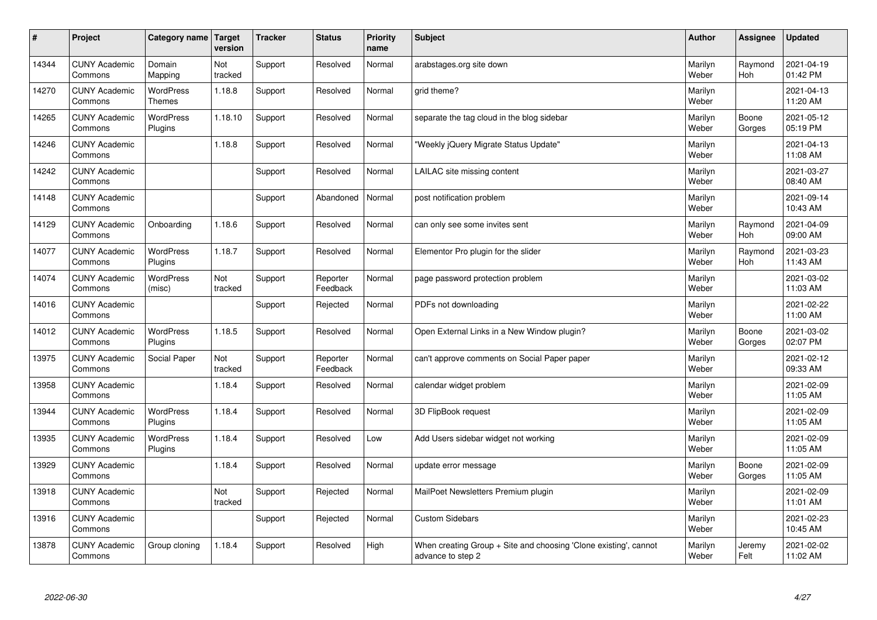| $\sharp$ | Project                         | Category name   Target      | version        | <b>Tracker</b> | <b>Status</b>        | <b>Priority</b><br>name | <b>Subject</b>                                                                        | <b>Author</b>    | Assignee              | <b>Updated</b>         |
|----------|---------------------------------|-----------------------------|----------------|----------------|----------------------|-------------------------|---------------------------------------------------------------------------------------|------------------|-----------------------|------------------------|
| 14344    | <b>CUNY Academic</b><br>Commons | Domain<br>Mapping           | Not<br>tracked | Support        | Resolved             | Normal                  | arabstages.org site down                                                              | Marilyn<br>Weber | Raymond<br><b>Hoh</b> | 2021-04-19<br>01:42 PM |
| 14270    | <b>CUNY Academic</b><br>Commons | WordPress<br>Themes         | 1.18.8         | Support        | Resolved             | Normal                  | grid theme?                                                                           | Marilyn<br>Weber |                       | 2021-04-13<br>11:20 AM |
| 14265    | <b>CUNY Academic</b><br>Commons | <b>WordPress</b><br>Plugins | 1.18.10        | Support        | Resolved             | Normal                  | separate the tag cloud in the blog sidebar                                            | Marilyn<br>Weber | Boone<br>Gorges       | 2021-05-12<br>05:19 PM |
| 14246    | <b>CUNY Academic</b><br>Commons |                             | 1.18.8         | Support        | Resolved             | Normal                  | 'Weekly jQuery Migrate Status Update"                                                 | Marilyn<br>Weber |                       | 2021-04-13<br>11:08 AM |
| 14242    | <b>CUNY Academic</b><br>Commons |                             |                | Support        | Resolved             | Normal                  | LAILAC site missing content                                                           | Marilyn<br>Weber |                       | 2021-03-27<br>08:40 AM |
| 14148    | <b>CUNY Academic</b><br>Commons |                             |                | Support        | Abandoned            | Normal                  | post notification problem                                                             | Marilyn<br>Weber |                       | 2021-09-14<br>10:43 AM |
| 14129    | <b>CUNY Academic</b><br>Commons | Onboarding                  | 1.18.6         | Support        | Resolved             | Normal                  | can only see some invites sent                                                        | Marilyn<br>Weber | Raymond<br>Hoh        | 2021-04-09<br>09:00 AM |
| 14077    | <b>CUNY Academic</b><br>Commons | WordPress<br><b>Plugins</b> | 1.18.7         | Support        | Resolved             | Normal                  | Elementor Pro plugin for the slider                                                   | Marilyn<br>Weber | Raymond<br><b>Hoh</b> | 2021-03-23<br>11:43 AM |
| 14074    | <b>CUNY Academic</b><br>Commons | <b>WordPress</b><br>(misc)  | Not<br>tracked | Support        | Reporter<br>Feedback | Normal                  | page password protection problem                                                      | Marilyn<br>Weber |                       | 2021-03-02<br>11:03 AM |
| 14016    | <b>CUNY Academic</b><br>Commons |                             |                | Support        | Rejected             | Normal                  | PDFs not downloading                                                                  | Marilyn<br>Weber |                       | 2021-02-22<br>11:00 AM |
| 14012    | <b>CUNY Academic</b><br>Commons | <b>WordPress</b><br>Plugins | 1.18.5         | Support        | Resolved             | Normal                  | Open External Links in a New Window plugin?                                           | Marilyn<br>Weber | Boone<br>Gorges       | 2021-03-02<br>02:07 PM |
| 13975    | <b>CUNY Academic</b><br>Commons | Social Paper                | Not<br>tracked | Support        | Reporter<br>Feedback | Normal                  | can't approve comments on Social Paper paper                                          | Marilyn<br>Weber |                       | 2021-02-12<br>09:33 AM |
| 13958    | <b>CUNY Academic</b><br>Commons |                             | 1.18.4         | Support        | Resolved             | Normal                  | calendar widget problem                                                               | Marilyn<br>Weber |                       | 2021-02-09<br>11:05 AM |
| 13944    | <b>CUNY Academic</b><br>Commons | <b>WordPress</b><br>Plugins | 1.18.4         | Support        | Resolved             | Normal                  | 3D FlipBook request                                                                   | Marilyn<br>Weber |                       | 2021-02-09<br>11:05 AM |
| 13935    | <b>CUNY Academic</b><br>Commons | WordPress<br>Plugins        | 1.18.4         | Support        | Resolved             | Low                     | Add Users sidebar widget not working                                                  | Marilyn<br>Weber |                       | 2021-02-09<br>11:05 AM |
| 13929    | <b>CUNY Academic</b><br>Commons |                             | 1.18.4         | Support        | Resolved             | Normal                  | update error message                                                                  | Marilyn<br>Weber | Boone<br>Gorges       | 2021-02-09<br>11:05 AM |
| 13918    | <b>CUNY Academic</b><br>Commons |                             | Not<br>tracked | Support        | Rejected             | Normal                  | MailPoet Newsletters Premium plugin                                                   | Marilyn<br>Weber |                       | 2021-02-09<br>11:01 AM |
| 13916    | <b>CUNY Academic</b><br>Commons |                             |                | Support        | Rejected             | Normal                  | <b>Custom Sidebars</b>                                                                | Marilyn<br>Weber |                       | 2021-02-23<br>10:45 AM |
| 13878    | <b>CUNY Academic</b><br>Commons | Group cloning               | 1.18.4         | Support        | Resolved             | High                    | When creating Group + Site and choosing 'Clone existing', cannot<br>advance to step 2 | Marilyn<br>Weber | Jeremy<br>Felt        | 2021-02-02<br>11:02 AM |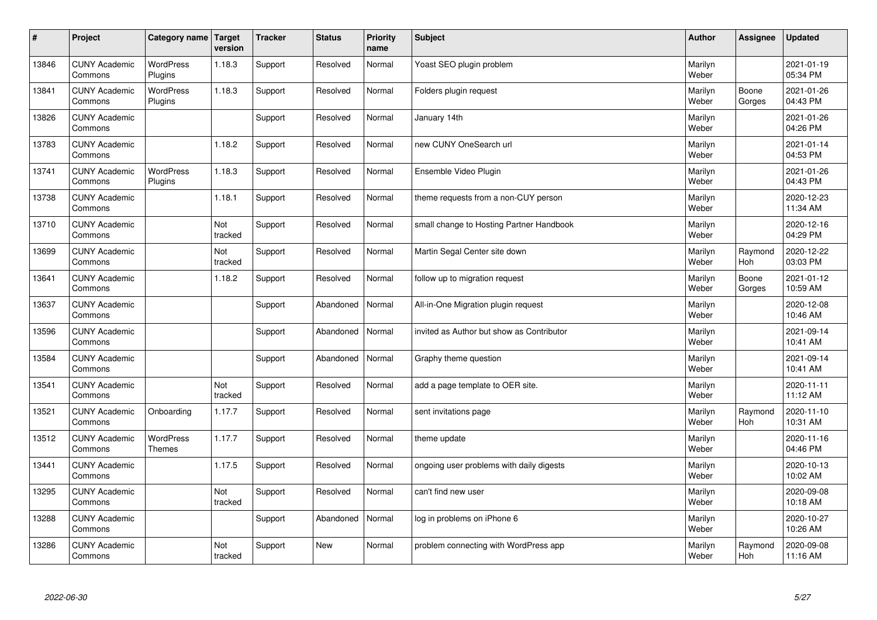| $\sharp$ | Project                         | Category name   Target      | version        | <b>Tracker</b> | <b>Status</b> | <b>Priority</b><br>name | <b>Subject</b>                            | <b>Author</b>    | <b>Assignee</b>       | <b>Updated</b>         |
|----------|---------------------------------|-----------------------------|----------------|----------------|---------------|-------------------------|-------------------------------------------|------------------|-----------------------|------------------------|
| 13846    | <b>CUNY Academic</b><br>Commons | <b>WordPress</b><br>Plugins | 1.18.3         | Support        | Resolved      | Normal                  | Yoast SEO plugin problem                  | Marilyn<br>Weber |                       | 2021-01-19<br>05:34 PM |
| 13841    | <b>CUNY Academic</b><br>Commons | <b>WordPress</b><br>Plugins | 1.18.3         | Support        | Resolved      | Normal                  | Folders plugin request                    | Marilyn<br>Weber | Boone<br>Gorges       | 2021-01-26<br>04:43 PM |
| 13826    | <b>CUNY Academic</b><br>Commons |                             |                | Support        | Resolved      | Normal                  | January 14th                              | Marilyn<br>Weber |                       | 2021-01-26<br>04:26 PM |
| 13783    | <b>CUNY Academic</b><br>Commons |                             | 1.18.2         | Support        | Resolved      | Normal                  | new CUNY OneSearch url                    | Marilyn<br>Weber |                       | 2021-01-14<br>04:53 PM |
| 13741    | <b>CUNY Academic</b><br>Commons | <b>WordPress</b><br>Plugins | 1.18.3         | Support        | Resolved      | Normal                  | Ensemble Video Plugin                     | Marilyn<br>Weber |                       | 2021-01-26<br>04:43 PM |
| 13738    | <b>CUNY Academic</b><br>Commons |                             | 1.18.1         | Support        | Resolved      | Normal                  | theme requests from a non-CUY person      | Marilyn<br>Weber |                       | 2020-12-23<br>11:34 AM |
| 13710    | <b>CUNY Academic</b><br>Commons |                             | Not<br>tracked | Support        | Resolved      | Normal                  | small change to Hosting Partner Handbook  | Marilyn<br>Weber |                       | 2020-12-16<br>04:29 PM |
| 13699    | <b>CUNY Academic</b><br>Commons |                             | Not<br>tracked | Support        | Resolved      | Normal                  | Martin Segal Center site down             | Marilyn<br>Weber | Raymond<br>Hoh        | 2020-12-22<br>03:03 PM |
| 13641    | <b>CUNY Academic</b><br>Commons |                             | 1.18.2         | Support        | Resolved      | Normal                  | follow up to migration request            | Marilyn<br>Weber | Boone<br>Gorges       | 2021-01-12<br>10:59 AM |
| 13637    | <b>CUNY Academic</b><br>Commons |                             |                | Support        | Abandoned     | Normal                  | All-in-One Migration plugin request       | Marilyn<br>Weber |                       | 2020-12-08<br>10:46 AM |
| 13596    | <b>CUNY Academic</b><br>Commons |                             |                | Support        | Abandoned     | Normal                  | invited as Author but show as Contributor | Marilyn<br>Weber |                       | 2021-09-14<br>10:41 AM |
| 13584    | <b>CUNY Academic</b><br>Commons |                             |                | Support        | Abandoned     | Normal                  | Graphy theme question                     | Marilyn<br>Weber |                       | 2021-09-14<br>10:41 AM |
| 13541    | <b>CUNY Academic</b><br>Commons |                             | Not<br>tracked | Support        | Resolved      | Normal                  | add a page template to OER site.          | Marilyn<br>Weber |                       | 2020-11-11<br>11:12 AM |
| 13521    | <b>CUNY Academic</b><br>Commons | Onboarding                  | 1.17.7         | Support        | Resolved      | Normal                  | sent invitations page                     | Marilyn<br>Weber | Raymond<br><b>Hoh</b> | 2020-11-10<br>10:31 AM |
| 13512    | <b>CUNY Academic</b><br>Commons | WordPress<br><b>Themes</b>  | 1.17.7         | Support        | Resolved      | Normal                  | theme update                              | Marilyn<br>Weber |                       | 2020-11-16<br>04:46 PM |
| 13441    | <b>CUNY Academic</b><br>Commons |                             | 1.17.5         | Support        | Resolved      | Normal                  | ongoing user problems with daily digests  | Marilyn<br>Weber |                       | 2020-10-13<br>10:02 AM |
| 13295    | <b>CUNY Academic</b><br>Commons |                             | Not<br>tracked | Support        | Resolved      | Normal                  | can't find new user                       | Marilyn<br>Weber |                       | 2020-09-08<br>10:18 AM |
| 13288    | <b>CUNY Academic</b><br>Commons |                             |                | Support        | Abandoned     | Normal                  | log in problems on iPhone 6               | Marilyn<br>Weber |                       | 2020-10-27<br>10:26 AM |
| 13286    | <b>CUNY Academic</b><br>Commons |                             | Not<br>tracked | Support        | <b>New</b>    | Normal                  | problem connecting with WordPress app     | Marilyn<br>Weber | Raymond<br>Hoh        | 2020-09-08<br>11:16 AM |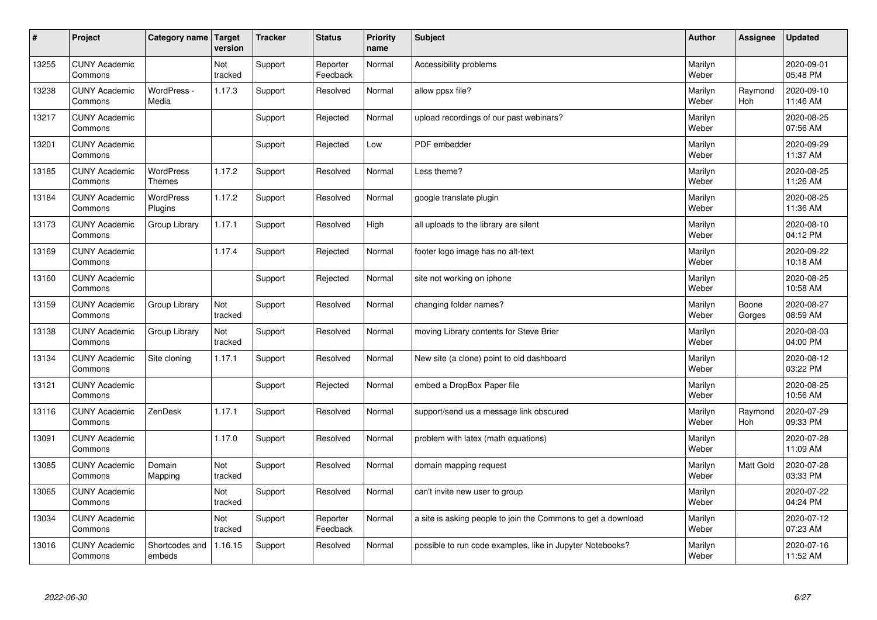| $\vert$ # | Project                         | Category name   Target            | version        | <b>Tracker</b> | <b>Status</b>        | <b>Priority</b><br>name | <b>Subject</b>                                                | <b>Author</b>    | <b>Assignee</b> | <b>Updated</b>         |
|-----------|---------------------------------|-----------------------------------|----------------|----------------|----------------------|-------------------------|---------------------------------------------------------------|------------------|-----------------|------------------------|
| 13255     | <b>CUNY Academic</b><br>Commons |                                   | Not<br>tracked | Support        | Reporter<br>Feedback | Normal                  | Accessibility problems                                        | Marilyn<br>Weber |                 | 2020-09-01<br>05:48 PM |
| 13238     | <b>CUNY Academic</b><br>Commons | WordPress -<br>Media              | 1.17.3         | Support        | Resolved             | Normal                  | allow ppsx file?                                              | Marilyn<br>Weber | Raymond<br>Hoh  | 2020-09-10<br>11:46 AM |
| 13217     | <b>CUNY Academic</b><br>Commons |                                   |                | Support        | Rejected             | Normal                  | upload recordings of our past webinars?                       | Marilyn<br>Weber |                 | 2020-08-25<br>07:56 AM |
| 13201     | <b>CUNY Academic</b><br>Commons |                                   |                | Support        | Rejected             | Low                     | PDF embedder                                                  | Marilyn<br>Weber |                 | 2020-09-29<br>11:37 AM |
| 13185     | <b>CUNY Academic</b><br>Commons | <b>WordPress</b><br><b>Themes</b> | 1.17.2         | Support        | Resolved             | Normal                  | Less theme?                                                   | Marilyn<br>Weber |                 | 2020-08-25<br>11:26 AM |
| 13184     | <b>CUNY Academic</b><br>Commons | WordPress<br>Plugins              | 1.17.2         | Support        | Resolved             | Normal                  | google translate plugin                                       | Marilyn<br>Weber |                 | 2020-08-25<br>11:36 AM |
| 13173     | <b>CUNY Academic</b><br>Commons | Group Library                     | 1.17.1         | Support        | Resolved             | High                    | all uploads to the library are silent                         | Marilyn<br>Weber |                 | 2020-08-10<br>04:12 PM |
| 13169     | <b>CUNY Academic</b><br>Commons |                                   | 1.17.4         | Support        | Rejected             | Normal                  | footer logo image has no alt-text                             | Marilyn<br>Weber |                 | 2020-09-22<br>10:18 AM |
| 13160     | <b>CUNY Academic</b><br>Commons |                                   |                | Support        | Rejected             | Normal                  | site not working on iphone                                    | Marilyn<br>Weber |                 | 2020-08-25<br>10:58 AM |
| 13159     | <b>CUNY Academic</b><br>Commons | Group Library                     | Not<br>tracked | Support        | Resolved             | Normal                  | changing folder names?                                        | Marilyn<br>Weber | Boone<br>Gorges | 2020-08-27<br>08:59 AM |
| 13138     | <b>CUNY Academic</b><br>Commons | Group Library                     | Not<br>tracked | Support        | Resolved             | Normal                  | moving Library contents for Steve Brier                       | Marilyn<br>Weber |                 | 2020-08-03<br>04:00 PM |
| 13134     | <b>CUNY Academic</b><br>Commons | Site cloning                      | 1.17.1         | Support        | Resolved             | Normal                  | New site (a clone) point to old dashboard                     | Marilyn<br>Weber |                 | 2020-08-12<br>03:22 PM |
| 13121     | <b>CUNY Academic</b><br>Commons |                                   |                | Support        | Rejected             | Normal                  | embed a DropBox Paper file                                    | Marilyn<br>Weber |                 | 2020-08-25<br>10:56 AM |
| 13116     | <b>CUNY Academic</b><br>Commons | ZenDesk                           | 1.17.1         | Support        | Resolved             | Normal                  | support/send us a message link obscured                       | Marilyn<br>Weber | Raymond<br>Hoh  | 2020-07-29<br>09:33 PM |
| 13091     | <b>CUNY Academic</b><br>Commons |                                   | 1.17.0         | Support        | Resolved             | Normal                  | problem with latex (math equations)                           | Marilyn<br>Weber |                 | 2020-07-28<br>11:09 AM |
| 13085     | <b>CUNY Academic</b><br>Commons | Domain<br>Mapping                 | Not<br>tracked | Support        | Resolved             | Normal                  | domain mapping request                                        | Marilyn<br>Weber | Matt Gold       | 2020-07-28<br>03:33 PM |
| 13065     | <b>CUNY Academic</b><br>Commons |                                   | Not<br>tracked | Support        | Resolved             | Normal                  | can't invite new user to group                                | Marilyn<br>Weber |                 | 2020-07-22<br>04:24 PM |
| 13034     | <b>CUNY Academic</b><br>Commons |                                   | Not<br>tracked | Support        | Reporter<br>Feedback | Normal                  | a site is asking people to join the Commons to get a download | Marilyn<br>Weber |                 | 2020-07-12<br>07:23 AM |
| 13016     | <b>CUNY Academic</b><br>Commons | Shortcodes and<br>embeds          | 1.16.15        | Support        | Resolved             | Normal                  | possible to run code examples, like in Jupyter Notebooks?     | Marilyn<br>Weber |                 | 2020-07-16<br>11:52 AM |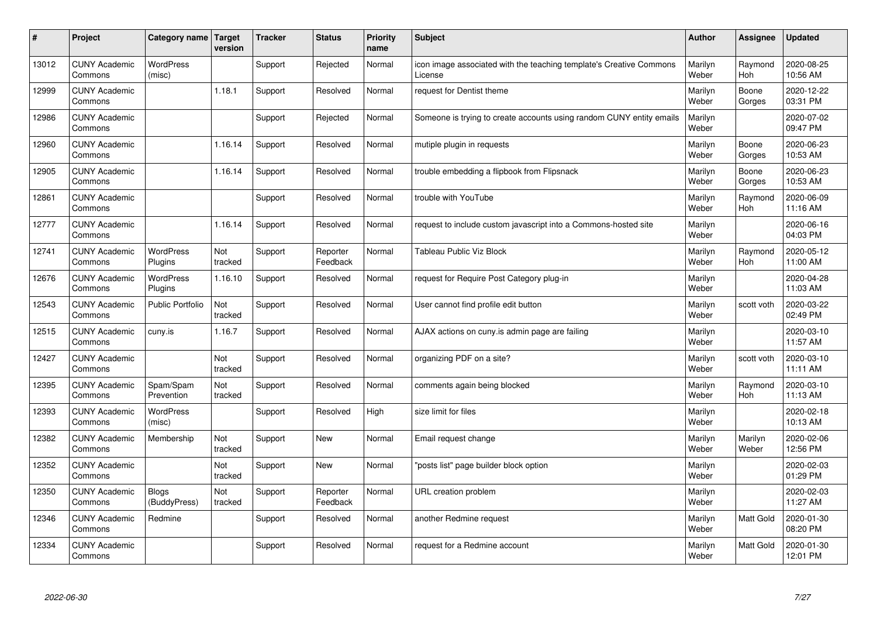| $\sharp$ | Project                         | Category name   Target       | version        | <b>Tracker</b> | <b>Status</b>        | <b>Priority</b><br>name | <b>Subject</b>                                                                 | <b>Author</b>    | Assignee         | Updated                |
|----------|---------------------------------|------------------------------|----------------|----------------|----------------------|-------------------------|--------------------------------------------------------------------------------|------------------|------------------|------------------------|
| 13012    | <b>CUNY Academic</b><br>Commons | <b>WordPress</b><br>(misc)   |                | Support        | Rejected             | Normal                  | icon image associated with the teaching template's Creative Commons<br>License | Marilyn<br>Weber | Raymond<br>Hoh   | 2020-08-25<br>10:56 AM |
| 12999    | <b>CUNY Academic</b><br>Commons |                              | 1.18.1         | Support        | Resolved             | Normal                  | request for Dentist theme                                                      | Marilyn<br>Weber | Boone<br>Gorges  | 2020-12-22<br>03:31 PM |
| 12986    | <b>CUNY Academic</b><br>Commons |                              |                | Support        | Rejected             | Normal                  | Someone is trying to create accounts using random CUNY entity emails           | Marilyn<br>Weber |                  | 2020-07-02<br>09:47 PM |
| 12960    | <b>CUNY Academic</b><br>Commons |                              | 1.16.14        | Support        | Resolved             | Normal                  | mutiple plugin in requests                                                     | Marilyn<br>Weber | Boone<br>Gorges  | 2020-06-23<br>10:53 AM |
| 12905    | <b>CUNY Academic</b><br>Commons |                              | 1.16.14        | Support        | Resolved             | Normal                  | trouble embedding a flipbook from Flipsnack                                    | Marilyn<br>Weber | Boone<br>Gorges  | 2020-06-23<br>10:53 AM |
| 12861    | <b>CUNY Academic</b><br>Commons |                              |                | Support        | Resolved             | Normal                  | trouble with YouTube                                                           | Marilyn<br>Weber | Raymond<br>Hoh   | 2020-06-09<br>11:16 AM |
| 12777    | <b>CUNY Academic</b><br>Commons |                              | 1.16.14        | Support        | Resolved             | Normal                  | request to include custom javascript into a Commons-hosted site                | Marilyn<br>Weber |                  | 2020-06-16<br>04:03 PM |
| 12741    | <b>CUNY Academic</b><br>Commons | <b>WordPress</b><br>Plugins  | Not<br>tracked | Support        | Reporter<br>Feedback | Normal                  | <b>Tableau Public Viz Block</b>                                                | Marilyn<br>Weber | Raymond<br>Hoh   | 2020-05-12<br>11:00 AM |
| 12676    | <b>CUNY Academic</b><br>Commons | <b>WordPress</b><br>Plugins  | 1.16.10        | Support        | Resolved             | Normal                  | request for Require Post Category plug-in                                      | Marilyn<br>Weber |                  | 2020-04-28<br>11:03 AM |
| 12543    | <b>CUNY Academic</b><br>Commons | <b>Public Portfolio</b>      | Not<br>tracked | Support        | Resolved             | Normal                  | User cannot find profile edit button                                           | Marilyn<br>Weber | scott voth       | 2020-03-22<br>02:49 PM |
| 12515    | <b>CUNY Academic</b><br>Commons | cuny.is                      | 1.16.7         | Support        | Resolved             | Normal                  | AJAX actions on cuny is admin page are failing                                 | Marilyn<br>Weber |                  | 2020-03-10<br>11:57 AM |
| 12427    | <b>CUNY Academic</b><br>Commons |                              | Not<br>tracked | Support        | Resolved             | Normal                  | organizing PDF on a site?                                                      | Marilyn<br>Weber | scott voth       | 2020-03-10<br>11:11 AM |
| 12395    | <b>CUNY Academic</b><br>Commons | Spam/Spam<br>Prevention      | Not<br>tracked | Support        | Resolved             | Normal                  | comments again being blocked                                                   | Marilyn<br>Weber | Raymond<br>Hoh   | 2020-03-10<br>11:13 AM |
| 12393    | <b>CUNY Academic</b><br>Commons | WordPress<br>(misc)          |                | Support        | Resolved             | High                    | size limit for files                                                           | Marilyn<br>Weber |                  | 2020-02-18<br>10:13 AM |
| 12382    | <b>CUNY Academic</b><br>Commons | Membership                   | Not<br>tracked | Support        | <b>New</b>           | Normal                  | Email request change                                                           | Marilyn<br>Weber | Marilyn<br>Weber | 2020-02-06<br>12:56 PM |
| 12352    | <b>CUNY Academic</b><br>Commons |                              | Not<br>tracked | Support        | <b>New</b>           | Normal                  | 'posts list" page builder block option                                         | Marilyn<br>Weber |                  | 2020-02-03<br>01:29 PM |
| 12350    | <b>CUNY Academic</b><br>Commons | <b>Blogs</b><br>(BuddyPress) | Not<br>tracked | Support        | Reporter<br>Feedback | Normal                  | URL creation problem                                                           | Marilyn<br>Weber |                  | 2020-02-03<br>11:27 AM |
| 12346    | <b>CUNY Academic</b><br>Commons | Redmine                      |                | Support        | Resolved             | Normal                  | another Redmine request                                                        | Marilyn<br>Weber | Matt Gold        | 2020-01-30<br>08:20 PM |
| 12334    | <b>CUNY Academic</b><br>Commons |                              |                | Support        | Resolved             | Normal                  | request for a Redmine account                                                  | Marilyn<br>Weber | <b>Matt Gold</b> | 2020-01-30<br>12:01 PM |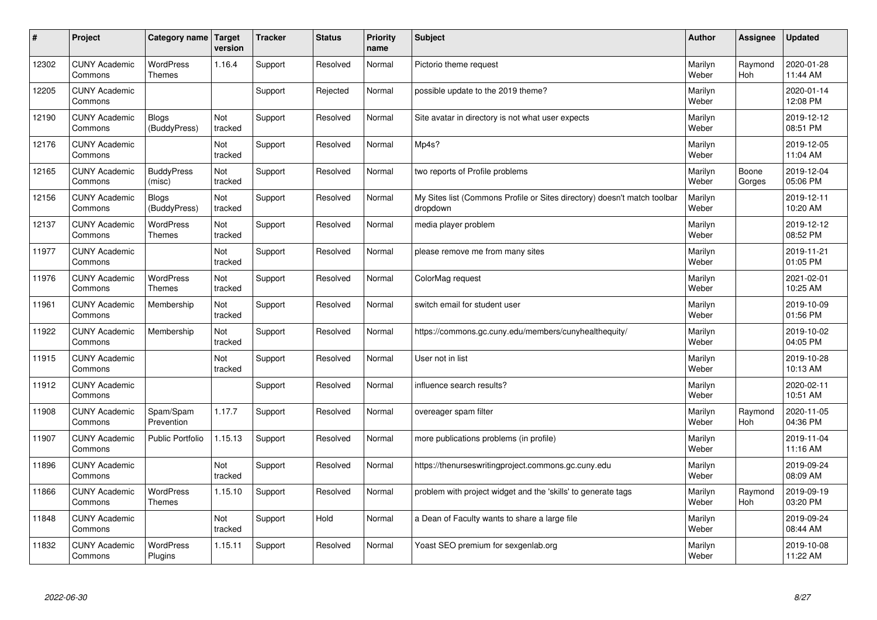| $\pmb{\#}$ | Project                         | Category name                     | Target<br>version | <b>Tracker</b> | <b>Status</b> | <b>Priority</b><br>name | <b>Subject</b>                                                                       | <b>Author</b>    | Assignee        | <b>Updated</b>         |
|------------|---------------------------------|-----------------------------------|-------------------|----------------|---------------|-------------------------|--------------------------------------------------------------------------------------|------------------|-----------------|------------------------|
| 12302      | <b>CUNY Academic</b><br>Commons | <b>WordPress</b><br>Themes        | 1.16.4            | Support        | Resolved      | Normal                  | Pictorio theme request                                                               | Marilyn<br>Weber | Raymond<br>Hoh  | 2020-01-28<br>11:44 AM |
| 12205      | <b>CUNY Academic</b><br>Commons |                                   |                   | Support        | Rejected      | Normal                  | possible update to the 2019 theme?                                                   | Marilyn<br>Weber |                 | 2020-01-14<br>12:08 PM |
| 12190      | <b>CUNY Academic</b><br>Commons | <b>Blogs</b><br>(BuddyPress)      | Not<br>tracked    | Support        | Resolved      | Normal                  | Site avatar in directory is not what user expects                                    | Marilyn<br>Weber |                 | 2019-12-12<br>08:51 PM |
| 12176      | <b>CUNY Academic</b><br>Commons |                                   | Not<br>tracked    | Support        | Resolved      | Normal                  | Mp4s?                                                                                | Marilyn<br>Weber |                 | 2019-12-05<br>11:04 AM |
| 12165      | <b>CUNY Academic</b><br>Commons | <b>BuddyPress</b><br>(misc)       | Not<br>tracked    | Support        | Resolved      | Normal                  | two reports of Profile problems                                                      | Marilyn<br>Weber | Boone<br>Gorges | 2019-12-04<br>05:06 PM |
| 12156      | <b>CUNY Academic</b><br>Commons | <b>Blogs</b><br>(BuddyPress)      | Not<br>tracked    | Support        | Resolved      | Normal                  | My Sites list (Commons Profile or Sites directory) doesn't match toolbar<br>dropdown | Marilyn<br>Weber |                 | 2019-12-11<br>10:20 AM |
| 12137      | <b>CUNY Academic</b><br>Commons | <b>WordPress</b><br><b>Themes</b> | Not<br>tracked    | Support        | Resolved      | Normal                  | media player problem                                                                 | Marilyn<br>Weber |                 | 2019-12-12<br>08:52 PM |
| 11977      | <b>CUNY Academic</b><br>Commons |                                   | Not<br>tracked    | Support        | Resolved      | Normal                  | please remove me from many sites                                                     | Marilyn<br>Weber |                 | 2019-11-21<br>01:05 PM |
| 11976      | <b>CUNY Academic</b><br>Commons | <b>WordPress</b><br><b>Themes</b> | Not<br>tracked    | Support        | Resolved      | Normal                  | ColorMag request                                                                     | Marilyn<br>Weber |                 | 2021-02-01<br>10:25 AM |
| 11961      | <b>CUNY Academic</b><br>Commons | Membership                        | Not<br>tracked    | Support        | Resolved      | Normal                  | switch email for student user                                                        | Marilyn<br>Weber |                 | 2019-10-09<br>01:56 PM |
| 11922      | <b>CUNY Academic</b><br>Commons | Membership                        | Not<br>tracked    | Support        | Resolved      | Normal                  | https://commons.gc.cuny.edu/members/cunyhealthequity/                                | Marilyn<br>Weber |                 | 2019-10-02<br>04:05 PM |
| 11915      | <b>CUNY Academic</b><br>Commons |                                   | Not<br>tracked    | Support        | Resolved      | Normal                  | User not in list                                                                     | Marilyn<br>Weber |                 | 2019-10-28<br>10:13 AM |
| 11912      | <b>CUNY Academic</b><br>Commons |                                   |                   | Support        | Resolved      | Normal                  | influence search results?                                                            | Marilyn<br>Weber |                 | 2020-02-11<br>10:51 AM |
| 11908      | <b>CUNY Academic</b><br>Commons | Spam/Spam<br>Prevention           | 1.17.7            | Support        | Resolved      | Normal                  | overeager spam filter                                                                | Marilyn<br>Weber | Raymond<br>Hoh  | 2020-11-05<br>04:36 PM |
| 11907      | <b>CUNY Academic</b><br>Commons | <b>Public Portfolio</b>           | 1.15.13           | Support        | Resolved      | Normal                  | more publications problems (in profile)                                              | Marilyn<br>Weber |                 | 2019-11-04<br>11:16 AM |
| 11896      | <b>CUNY Academic</b><br>Commons |                                   | Not<br>tracked    | Support        | Resolved      | Normal                  | https://thenurseswritingproject.commons.gc.cuny.edu                                  | Marilyn<br>Weber |                 | 2019-09-24<br>08:09 AM |
| 11866      | <b>CUNY Academic</b><br>Commons | WordPress<br>Themes               | 1.15.10           | Support        | Resolved      | Normal                  | problem with project widget and the 'skills' to generate tags                        | Marilyn<br>Weber | Raymond<br>Hoh  | 2019-09-19<br>03:20 PM |
| 11848      | <b>CUNY Academic</b><br>Commons |                                   | Not<br>tracked    | Support        | Hold          | Normal                  | a Dean of Faculty wants to share a large file                                        | Marilyn<br>Weber |                 | 2019-09-24<br>08:44 AM |
| 11832      | <b>CUNY Academic</b><br>Commons | <b>WordPress</b><br>Plugins       | 1.15.11           | Support        | Resolved      | Normal                  | Yoast SEO premium for sexgenlab.org                                                  | Marilyn<br>Weber |                 | 2019-10-08<br>11:22 AM |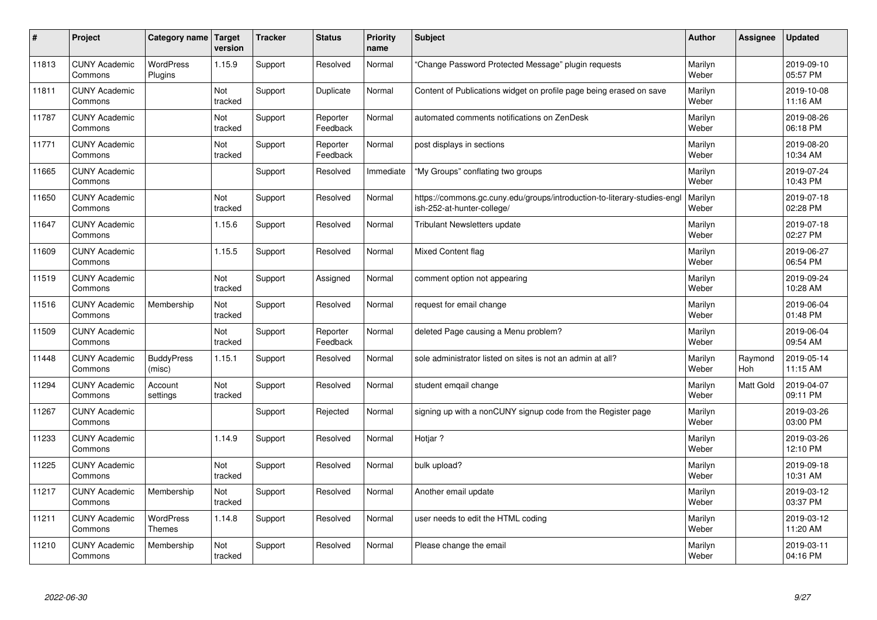| #     | Project                         | Category name               | <b>Target</b><br>version | <b>Tracker</b> | <b>Status</b>        | Priority<br>name | <b>Subject</b>                                                                                         | <b>Author</b>    | Assignee         | <b>Updated</b>         |
|-------|---------------------------------|-----------------------------|--------------------------|----------------|----------------------|------------------|--------------------------------------------------------------------------------------------------------|------------------|------------------|------------------------|
| 11813 | <b>CUNY Academic</b><br>Commons | <b>WordPress</b><br>Plugins | 1.15.9                   | Support        | Resolved             | Normal           | 'Change Password Protected Message" plugin requests                                                    | Marilyn<br>Weber |                  | 2019-09-10<br>05:57 PM |
| 11811 | <b>CUNY Academic</b><br>Commons |                             | Not<br>tracked           | Support        | Duplicate            | Normal           | Content of Publications widget on profile page being erased on save                                    | Marilyn<br>Weber |                  | 2019-10-08<br>11:16 AM |
| 11787 | <b>CUNY Academic</b><br>Commons |                             | Not<br>tracked           | Support        | Reporter<br>Feedback | Normal           | automated comments notifications on ZenDesk                                                            | Marilyn<br>Weber |                  | 2019-08-26<br>06:18 PM |
| 11771 | <b>CUNY Academic</b><br>Commons |                             | Not<br>tracked           | Support        | Reporter<br>Feedback | Normal           | post displays in sections                                                                              | Marilyn<br>Weber |                  | 2019-08-20<br>10:34 AM |
| 11665 | <b>CUNY Academic</b><br>Commons |                             |                          | Support        | Resolved             | Immediate        | "My Groups" conflating two groups                                                                      | Marilyn<br>Weber |                  | 2019-07-24<br>10:43 PM |
| 11650 | <b>CUNY Academic</b><br>Commons |                             | Not<br>tracked           | Support        | Resolved             | Normal           | https://commons.gc.cuny.edu/groups/introduction-to-literary-studies-engl<br>ish-252-at-hunter-college/ | Marilyn<br>Weber |                  | 2019-07-18<br>02:28 PM |
| 11647 | <b>CUNY Academic</b><br>Commons |                             | 1.15.6                   | Support        | Resolved             | Normal           | <b>Tribulant Newsletters update</b>                                                                    | Marilyn<br>Weber |                  | 2019-07-18<br>02:27 PM |
| 11609 | <b>CUNY Academic</b><br>Commons |                             | 1.15.5                   | Support        | Resolved             | Normal           | Mixed Content flag                                                                                     | Marilyn<br>Weber |                  | 2019-06-27<br>06:54 PM |
| 11519 | <b>CUNY Academic</b><br>Commons |                             | Not<br>tracked           | Support        | Assigned             | Normal           | comment option not appearing                                                                           | Marilyn<br>Weber |                  | 2019-09-24<br>10:28 AM |
| 11516 | <b>CUNY Academic</b><br>Commons | Membership                  | Not<br>tracked           | Support        | Resolved             | Normal           | request for email change                                                                               | Marilyn<br>Weber |                  | 2019-06-04<br>01:48 PM |
| 11509 | <b>CUNY Academic</b><br>Commons |                             | Not<br>tracked           | Support        | Reporter<br>Feedback | Normal           | deleted Page causing a Menu problem?                                                                   | Marilyn<br>Weber |                  | 2019-06-04<br>09:54 AM |
| 11448 | <b>CUNY Academic</b><br>Commons | <b>BuddyPress</b><br>(misc) | 1.15.1                   | Support        | Resolved             | Normal           | sole administrator listed on sites is not an admin at all?                                             | Marilyn<br>Weber | Raymond<br>Hoh   | 2019-05-14<br>11:15 AM |
| 11294 | <b>CUNY Academic</b><br>Commons | Account<br>settings         | Not<br>tracked           | Support        | Resolved             | Normal           | student emgail change                                                                                  | Marilyn<br>Weber | <b>Matt Gold</b> | 2019-04-07<br>09:11 PM |
| 11267 | <b>CUNY Academic</b><br>Commons |                             |                          | Support        | Rejected             | Normal           | signing up with a nonCUNY signup code from the Register page                                           | Marilyn<br>Weber |                  | 2019-03-26<br>03:00 PM |
| 11233 | <b>CUNY Academic</b><br>Commons |                             | 1.14.9                   | Support        | Resolved             | Normal           | Hotjar?                                                                                                | Marilyn<br>Weber |                  | 2019-03-26<br>12:10 PM |
| 11225 | <b>CUNY Academic</b><br>Commons |                             | Not<br>tracked           | Support        | Resolved             | Normal           | bulk upload?                                                                                           | Marilyn<br>Weber |                  | 2019-09-18<br>10:31 AM |
| 11217 | <b>CUNY Academic</b><br>Commons | Membership                  | Not<br>tracked           | Support        | Resolved             | Normal           | Another email update                                                                                   | Marilyn<br>Weber |                  | 2019-03-12<br>03:37 PM |
| 11211 | <b>CUNY Academic</b><br>Commons | <b>WordPress</b><br>Themes  | 1.14.8                   | Support        | Resolved             | Normal           | user needs to edit the HTML coding                                                                     | Marilyn<br>Weber |                  | 2019-03-12<br>11:20 AM |
| 11210 | <b>CUNY Academic</b><br>Commons | Membership                  | Not<br>tracked           | Support        | Resolved             | Normal           | Please change the email                                                                                | Marilyn<br>Weber |                  | 2019-03-11<br>04:16 PM |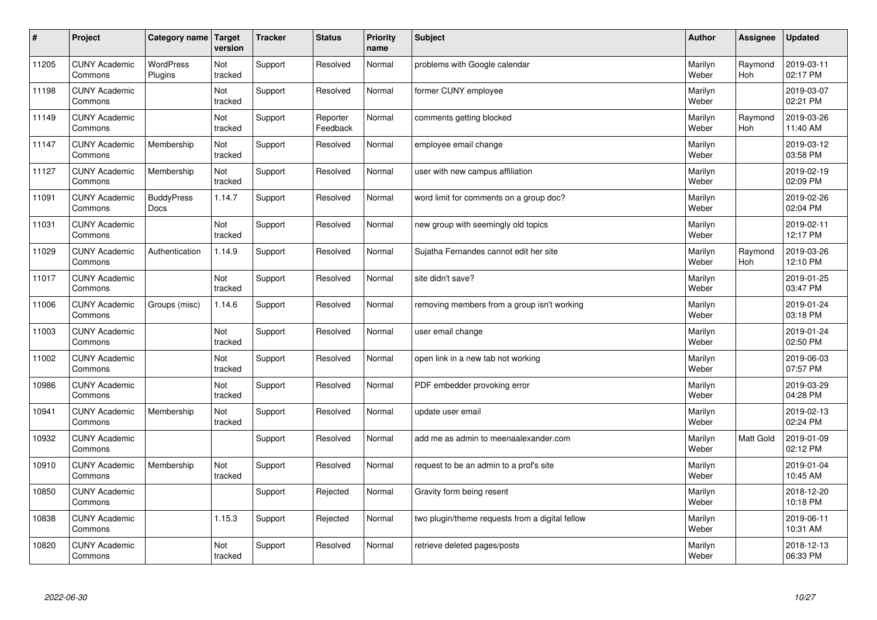| $\pmb{\#}$ | Project                         | Category name                    | Target<br>version | <b>Tracker</b> | <b>Status</b>        | <b>Priority</b><br>name | <b>Subject</b>                                  | <b>Author</b>    | Assignee       | <b>Updated</b>         |
|------------|---------------------------------|----------------------------------|-------------------|----------------|----------------------|-------------------------|-------------------------------------------------|------------------|----------------|------------------------|
| 11205      | <b>CUNY Academic</b><br>Commons | <b>WordPress</b><br>Plugins      | Not<br>tracked    | Support        | Resolved             | Normal                  | problems with Google calendar                   | Marilyn<br>Weber | Raymond<br>Hoh | 2019-03-11<br>02:17 PM |
| 11198      | <b>CUNY Academic</b><br>Commons |                                  | Not<br>tracked    | Support        | Resolved             | Normal                  | former CUNY employee                            | Marilyn<br>Weber |                | 2019-03-07<br>02:21 PM |
| 11149      | <b>CUNY Academic</b><br>Commons |                                  | Not<br>tracked    | Support        | Reporter<br>Feedback | Normal                  | comments getting blocked                        | Marilyn<br>Weber | Raymond<br>Hoh | 2019-03-26<br>11:40 AM |
| 11147      | <b>CUNY Academic</b><br>Commons | Membership                       | Not<br>tracked    | Support        | Resolved             | Normal                  | employee email change                           | Marilyn<br>Weber |                | 2019-03-12<br>03:58 PM |
| 11127      | <b>CUNY Academic</b><br>Commons | Membership                       | Not<br>tracked    | Support        | Resolved             | Normal                  | user with new campus affiliation                | Marilyn<br>Weber |                | 2019-02-19<br>02:09 PM |
| 11091      | <b>CUNY Academic</b><br>Commons | <b>BuddyPress</b><br><b>Docs</b> | 1.14.7            | Support        | Resolved             | Normal                  | word limit for comments on a group doc?         | Marilyn<br>Weber |                | 2019-02-26<br>02:04 PM |
| 11031      | <b>CUNY Academic</b><br>Commons |                                  | Not<br>tracked    | Support        | Resolved             | Normal                  | new group with seemingly old topics             | Marilyn<br>Weber |                | 2019-02-11<br>12:17 PM |
| 11029      | <b>CUNY Academic</b><br>Commons | Authentication                   | 1.14.9            | Support        | Resolved             | Normal                  | Sujatha Fernandes cannot edit her site          | Marilyn<br>Weber | Raymond<br>Hoh | 2019-03-26<br>12:10 PM |
| 11017      | <b>CUNY Academic</b><br>Commons |                                  | Not<br>tracked    | Support        | Resolved             | Normal                  | site didn't save?                               | Marilyn<br>Weber |                | 2019-01-25<br>03:47 PM |
| 11006      | <b>CUNY Academic</b><br>Commons | Groups (misc)                    | 1.14.6            | Support        | Resolved             | Normal                  | removing members from a group isn't working     | Marilyn<br>Weber |                | 2019-01-24<br>03:18 PM |
| 11003      | <b>CUNY Academic</b><br>Commons |                                  | Not<br>tracked    | Support        | Resolved             | Normal                  | user email change                               | Marilyn<br>Weber |                | 2019-01-24<br>02:50 PM |
| 11002      | <b>CUNY Academic</b><br>Commons |                                  | Not<br>tracked    | Support        | Resolved             | Normal                  | open link in a new tab not working              | Marilyn<br>Weber |                | 2019-06-03<br>07:57 PM |
| 10986      | <b>CUNY Academic</b><br>Commons |                                  | Not<br>tracked    | Support        | Resolved             | Normal                  | PDF embedder provoking error                    | Marilyn<br>Weber |                | 2019-03-29<br>04:28 PM |
| 10941      | <b>CUNY Academic</b><br>Commons | Membership                       | Not<br>tracked    | Support        | Resolved             | Normal                  | update user email                               | Marilyn<br>Weber |                | 2019-02-13<br>02:24 PM |
| 10932      | <b>CUNY Academic</b><br>Commons |                                  |                   | Support        | Resolved             | Normal                  | add me as admin to meenaalexander.com           | Marilyn<br>Weber | Matt Gold      | 2019-01-09<br>02:12 PM |
| 10910      | <b>CUNY Academic</b><br>Commons | Membership                       | Not<br>tracked    | Support        | Resolved             | Normal                  | request to be an admin to a prof's site         | Marilyn<br>Weber |                | 2019-01-04<br>10:45 AM |
| 10850      | <b>CUNY Academic</b><br>Commons |                                  |                   | Support        | Rejected             | Normal                  | Gravity form being resent                       | Marilyn<br>Weber |                | 2018-12-20<br>10:18 PM |
| 10838      | <b>CUNY Academic</b><br>Commons |                                  | 1.15.3            | Support        | Rejected             | Normal                  | two plugin/theme requests from a digital fellow | Marilyn<br>Weber |                | 2019-06-11<br>10:31 AM |
| 10820      | <b>CUNY Academic</b><br>Commons |                                  | Not<br>tracked    | Support        | Resolved             | Normal                  | retrieve deleted pages/posts                    | Marilyn<br>Weber |                | 2018-12-13<br>06:33 PM |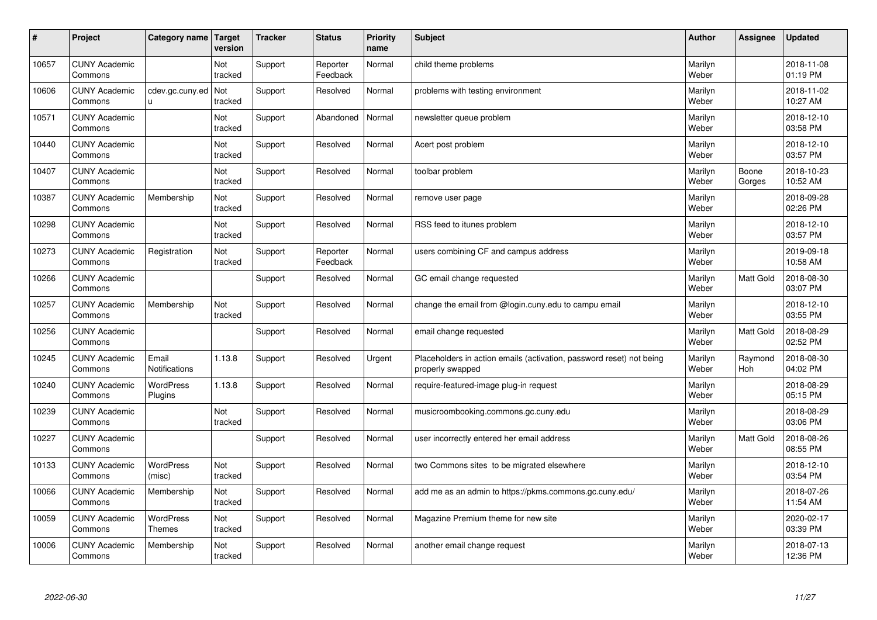| #     | Project                         | Category name   Target      | version        | <b>Tracker</b> | <b>Status</b>        | <b>Priority</b><br>name | <b>Subject</b>                                                                           | <b>Author</b>    | Assignee        | <b>Updated</b>         |
|-------|---------------------------------|-----------------------------|----------------|----------------|----------------------|-------------------------|------------------------------------------------------------------------------------------|------------------|-----------------|------------------------|
| 10657 | <b>CUNY Academic</b><br>Commons |                             | Not<br>tracked | Support        | Reporter<br>Feedback | Normal                  | child theme problems                                                                     | Marilyn<br>Weber |                 | 2018-11-08<br>01:19 PM |
| 10606 | <b>CUNY Academic</b><br>Commons | cdev.gc.cuny.ed<br>u        | Not<br>tracked | Support        | Resolved             | Normal                  | problems with testing environment                                                        | Marilyn<br>Weber |                 | 2018-11-02<br>10:27 AM |
| 10571 | <b>CUNY Academic</b><br>Commons |                             | Not<br>tracked | Support        | Abandoned            | Normal                  | newsletter queue problem                                                                 | Marilyn<br>Weber |                 | 2018-12-10<br>03:58 PM |
| 10440 | <b>CUNY Academic</b><br>Commons |                             | Not<br>tracked | Support        | Resolved             | Normal                  | Acert post problem                                                                       | Marilyn<br>Weber |                 | 2018-12-10<br>03:57 PM |
| 10407 | <b>CUNY Academic</b><br>Commons |                             | Not<br>tracked | Support        | Resolved             | Normal                  | toolbar problem                                                                          | Marilyn<br>Weber | Boone<br>Gorges | 2018-10-23<br>10:52 AM |
| 10387 | <b>CUNY Academic</b><br>Commons | Membership                  | Not<br>tracked | Support        | Resolved             | Normal                  | remove user page                                                                         | Marilyn<br>Weber |                 | 2018-09-28<br>02:26 PM |
| 10298 | <b>CUNY Academic</b><br>Commons |                             | Not<br>tracked | Support        | Resolved             | Normal                  | RSS feed to itunes problem                                                               | Marilyn<br>Weber |                 | 2018-12-10<br>03:57 PM |
| 10273 | <b>CUNY Academic</b><br>Commons | Registration                | Not<br>tracked | Support        | Reporter<br>Feedback | Normal                  | users combining CF and campus address                                                    | Marilyn<br>Weber |                 | 2019-09-18<br>10:58 AM |
| 10266 | <b>CUNY Academic</b><br>Commons |                             |                | Support        | Resolved             | Normal                  | GC email change requested                                                                | Marilyn<br>Weber | Matt Gold       | 2018-08-30<br>03:07 PM |
| 10257 | <b>CUNY Academic</b><br>Commons | Membership                  | Not<br>tracked | Support        | Resolved             | Normal                  | change the email from @login.cuny.edu to campu email                                     | Marilyn<br>Weber |                 | 2018-12-10<br>03:55 PM |
| 10256 | <b>CUNY Academic</b><br>Commons |                             |                | Support        | Resolved             | Normal                  | email change requested                                                                   | Marilyn<br>Weber | Matt Gold       | 2018-08-29<br>02:52 PM |
| 10245 | <b>CUNY Academic</b><br>Commons | Email<br>Notifications      | 1.13.8         | Support        | Resolved             | Urgent                  | Placeholders in action emails (activation, password reset) not being<br>properly swapped | Marilyn<br>Weber | Raymond<br>Hoh  | 2018-08-30<br>04:02 PM |
| 10240 | <b>CUNY Academic</b><br>Commons | <b>WordPress</b><br>Plugins | 1.13.8         | Support        | Resolved             | Normal                  | require-featured-image plug-in request                                                   | Marilyn<br>Weber |                 | 2018-08-29<br>05:15 PM |
| 10239 | <b>CUNY Academic</b><br>Commons |                             | Not<br>tracked | Support        | Resolved             | Normal                  | musicroombooking.commons.gc.cuny.edu                                                     | Marilyn<br>Weber |                 | 2018-08-29<br>03:06 PM |
| 10227 | <b>CUNY Academic</b><br>Commons |                             |                | Support        | Resolved             | Normal                  | user incorrectly entered her email address                                               | Marilyn<br>Weber | Matt Gold       | 2018-08-26<br>08:55 PM |
| 10133 | <b>CUNY Academic</b><br>Commons | <b>WordPress</b><br>(misc)  | Not<br>tracked | Support        | Resolved             | Normal                  | two Commons sites to be migrated elsewhere                                               | Marilyn<br>Weber |                 | 2018-12-10<br>03:54 PM |
| 10066 | <b>CUNY Academic</b><br>Commons | Membership                  | Not<br>tracked | Support        | Resolved             | Normal                  | add me as an admin to https://pkms.commons.gc.cuny.edu/                                  | Marilyn<br>Weber |                 | 2018-07-26<br>11:54 AM |
| 10059 | <b>CUNY Academic</b><br>Commons | WordPress<br><b>Themes</b>  | Not<br>tracked | Support        | Resolved             | Normal                  | Magazine Premium theme for new site                                                      | Marilyn<br>Weber |                 | 2020-02-17<br>03:39 PM |
| 10006 | <b>CUNY Academic</b><br>Commons | Membership                  | Not<br>tracked | Support        | Resolved             | Normal                  | another email change request                                                             | Marilyn<br>Weber |                 | 2018-07-13<br>12:36 PM |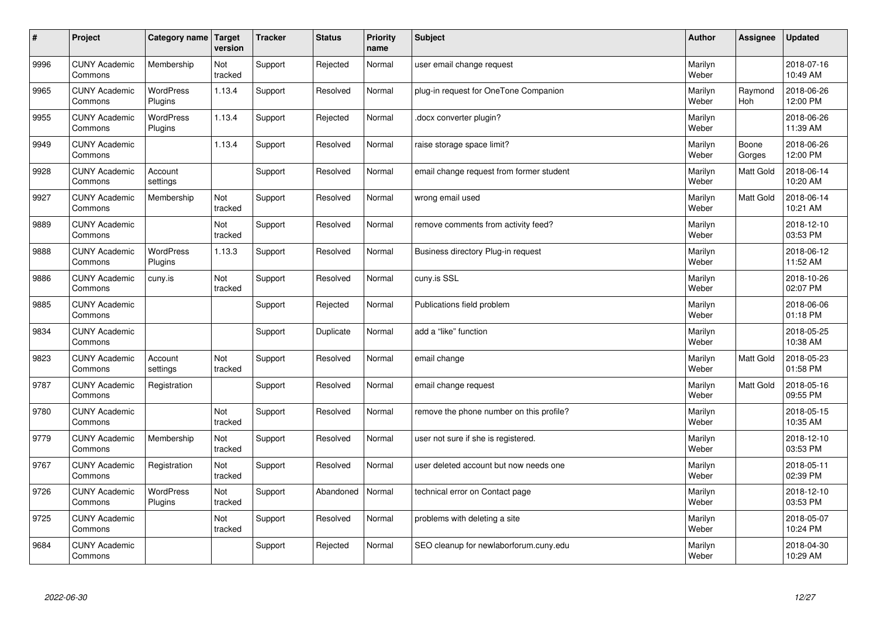| $\sharp$ | Project                         | Category name   Target      | version        | <b>Tracker</b> | <b>Status</b> | <b>Priority</b><br>name | <b>Subject</b>                           | <b>Author</b>    | Assignee         | <b>Updated</b>         |
|----------|---------------------------------|-----------------------------|----------------|----------------|---------------|-------------------------|------------------------------------------|------------------|------------------|------------------------|
| 9996     | <b>CUNY Academic</b><br>Commons | Membership                  | Not<br>tracked | Support        | Rejected      | Normal                  | user email change request                | Marilyn<br>Weber |                  | 2018-07-16<br>10:49 AM |
| 9965     | <b>CUNY Academic</b><br>Commons | <b>WordPress</b><br>Plugins | 1.13.4         | Support        | Resolved      | Normal                  | plug-in request for OneTone Companion    | Marilyn<br>Weber | Raymond<br>Hoh   | 2018-06-26<br>12:00 PM |
| 9955     | <b>CUNY Academic</b><br>Commons | <b>WordPress</b><br>Plugins | 1.13.4         | Support        | Rejected      | Normal                  | docx converter plugin?                   | Marilyn<br>Weber |                  | 2018-06-26<br>11:39 AM |
| 9949     | <b>CUNY Academic</b><br>Commons |                             | 1.13.4         | Support        | Resolved      | Normal                  | raise storage space limit?               | Marilyn<br>Weber | Boone<br>Gorges  | 2018-06-26<br>12:00 PM |
| 9928     | <b>CUNY Academic</b><br>Commons | Account<br>settings         |                | Support        | Resolved      | Normal                  | email change request from former student | Marilyn<br>Weber | <b>Matt Gold</b> | 2018-06-14<br>10:20 AM |
| 9927     | <b>CUNY Academic</b><br>Commons | Membership                  | Not<br>tracked | Support        | Resolved      | Normal                  | wrong email used                         | Marilyn<br>Weber | Matt Gold        | 2018-06-14<br>10:21 AM |
| 9889     | <b>CUNY Academic</b><br>Commons |                             | Not<br>tracked | Support        | Resolved      | Normal                  | remove comments from activity feed?      | Marilyn<br>Weber |                  | 2018-12-10<br>03:53 PM |
| 9888     | <b>CUNY Academic</b><br>Commons | <b>WordPress</b><br>Plugins | 1.13.3         | Support        | Resolved      | Normal                  | Business directory Plug-in request       | Marilyn<br>Weber |                  | 2018-06-12<br>11:52 AM |
| 9886     | <b>CUNY Academic</b><br>Commons | cuny.is                     | Not<br>tracked | Support        | Resolved      | Normal                  | cuny.is SSL                              | Marilyn<br>Weber |                  | 2018-10-26<br>02:07 PM |
| 9885     | <b>CUNY Academic</b><br>Commons |                             |                | Support        | Rejected      | Normal                  | Publications field problem               | Marilyn<br>Weber |                  | 2018-06-06<br>01:18 PM |
| 9834     | <b>CUNY Academic</b><br>Commons |                             |                | Support        | Duplicate     | Normal                  | add a "like" function                    | Marilyn<br>Weber |                  | 2018-05-25<br>10:38 AM |
| 9823     | <b>CUNY Academic</b><br>Commons | Account<br>settings         | Not<br>tracked | Support        | Resolved      | Normal                  | email change                             | Marilyn<br>Weber | <b>Matt Gold</b> | 2018-05-23<br>01:58 PM |
| 9787     | <b>CUNY Academic</b><br>Commons | Registration                |                | Support        | Resolved      | Normal                  | email change request                     | Marilyn<br>Weber | Matt Gold        | 2018-05-16<br>09:55 PM |
| 9780     | <b>CUNY Academic</b><br>Commons |                             | Not<br>tracked | Support        | Resolved      | Normal                  | remove the phone number on this profile? | Marilyn<br>Weber |                  | 2018-05-15<br>10:35 AM |
| 9779     | <b>CUNY Academic</b><br>Commons | Membership                  | Not<br>tracked | Support        | Resolved      | Normal                  | user not sure if she is registered.      | Marilyn<br>Weber |                  | 2018-12-10<br>03:53 PM |
| 9767     | <b>CUNY Academic</b><br>Commons | Registration                | Not<br>tracked | Support        | Resolved      | Normal                  | user deleted account but now needs one   | Marilyn<br>Weber |                  | 2018-05-11<br>02:39 PM |
| 9726     | <b>CUNY Academic</b><br>Commons | WordPress<br>Plugins        | Not<br>tracked | Support        | Abandoned     | Normal                  | technical error on Contact page          | Marilyn<br>Weber |                  | 2018-12-10<br>03:53 PM |
| 9725     | <b>CUNY Academic</b><br>Commons |                             | Not<br>tracked | Support        | Resolved      | Normal                  | problems with deleting a site            | Marilyn<br>Weber |                  | 2018-05-07<br>10:24 PM |
| 9684     | <b>CUNY Academic</b><br>Commons |                             |                | Support        | Rejected      | Normal                  | SEO cleanup for newlaborforum.cuny.edu   | Marilyn<br>Weber |                  | 2018-04-30<br>10:29 AM |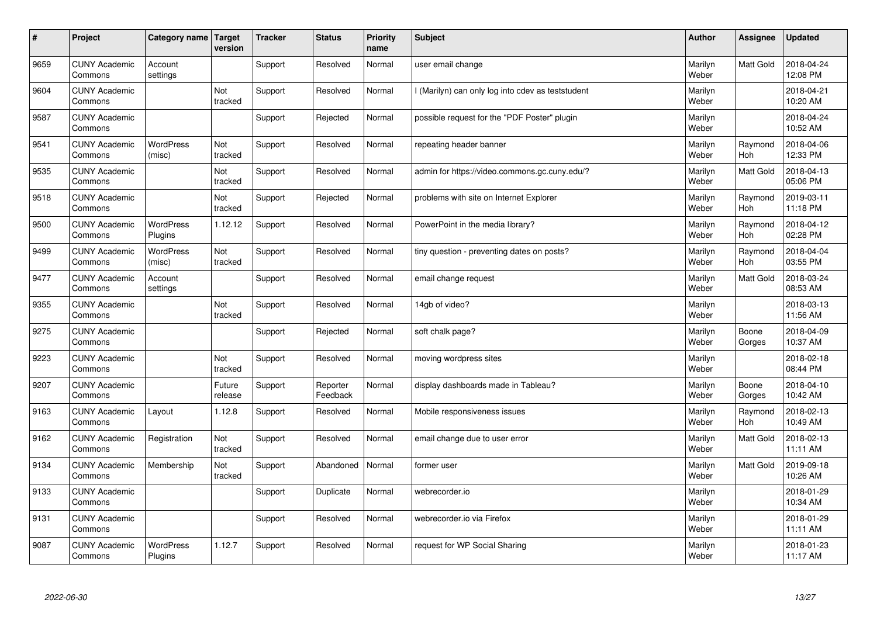| $\vert$ # | Project                         | Category name   Target      | version           | <b>Tracker</b> | <b>Status</b>        | <b>Priority</b><br>name | <b>Subject</b>                                  | <b>Author</b>    | Assignee              | <b>Updated</b>         |
|-----------|---------------------------------|-----------------------------|-------------------|----------------|----------------------|-------------------------|-------------------------------------------------|------------------|-----------------------|------------------------|
| 9659      | <b>CUNY Academic</b><br>Commons | Account<br>settings         |                   | Support        | Resolved             | Normal                  | user email change                               | Marilyn<br>Weber | <b>Matt Gold</b>      | 2018-04-24<br>12:08 PM |
| 9604      | <b>CUNY Academic</b><br>Commons |                             | Not<br>tracked    | Support        | Resolved             | Normal                  | (Marilyn) can only log into cdev as teststudent | Marilyn<br>Weber |                       | 2018-04-21<br>10:20 AM |
| 9587      | <b>CUNY Academic</b><br>Commons |                             |                   | Support        | Rejected             | Normal                  | possible request for the "PDF Poster" plugin    | Marilyn<br>Weber |                       | 2018-04-24<br>10:52 AM |
| 9541      | <b>CUNY Academic</b><br>Commons | <b>WordPress</b><br>(misc)  | Not<br>tracked    | Support        | Resolved             | Normal                  | repeating header banner                         | Marilyn<br>Weber | Raymond<br>Hoh        | 2018-04-06<br>12:33 PM |
| 9535      | <b>CUNY Academic</b><br>Commons |                             | Not<br>tracked    | Support        | Resolved             | Normal                  | admin for https://video.commons.gc.cuny.edu/?   | Marilyn<br>Weber | Matt Gold             | 2018-04-13<br>05:06 PM |
| 9518      | <b>CUNY Academic</b><br>Commons |                             | Not<br>tracked    | Support        | Rejected             | Normal                  | problems with site on Internet Explorer         | Marilyn<br>Weber | Raymond<br><b>Hoh</b> | 2019-03-11<br>11:18 PM |
| 9500      | <b>CUNY Academic</b><br>Commons | <b>WordPress</b><br>Plugins | 1.12.12           | Support        | Resolved             | Normal                  | PowerPoint in the media library?                | Marilyn<br>Weber | Raymond<br>Hoh        | 2018-04-12<br>02:28 PM |
| 9499      | <b>CUNY Academic</b><br>Commons | <b>WordPress</b><br>(misc)  | Not<br>tracked    | Support        | Resolved             | Normal                  | tiny question - preventing dates on posts?      | Marilyn<br>Weber | Raymond<br>Hoh        | 2018-04-04<br>03:55 PM |
| 9477      | <b>CUNY Academic</b><br>Commons | Account<br>settings         |                   | Support        | Resolved             | Normal                  | email change request                            | Marilyn<br>Weber | <b>Matt Gold</b>      | 2018-03-24<br>08:53 AM |
| 9355      | <b>CUNY Academic</b><br>Commons |                             | Not<br>tracked    | Support        | Resolved             | Normal                  | 14gb of video?                                  | Marilyn<br>Weber |                       | 2018-03-13<br>11:56 AM |
| 9275      | <b>CUNY Academic</b><br>Commons |                             |                   | Support        | Rejected             | Normal                  | soft chalk page?                                | Marilyn<br>Weber | Boone<br>Gorges       | 2018-04-09<br>10:37 AM |
| 9223      | <b>CUNY Academic</b><br>Commons |                             | Not<br>tracked    | Support        | Resolved             | Normal                  | moving wordpress sites                          | Marilyn<br>Weber |                       | 2018-02-18<br>08:44 PM |
| 9207      | <b>CUNY Academic</b><br>Commons |                             | Future<br>release | Support        | Reporter<br>Feedback | Normal                  | display dashboards made in Tableau?             | Marilyn<br>Weber | Boone<br>Gorges       | 2018-04-10<br>10:42 AM |
| 9163      | <b>CUNY Academic</b><br>Commons | Layout                      | 1.12.8            | Support        | Resolved             | Normal                  | Mobile responsiveness issues                    | Marilyn<br>Weber | Raymond<br><b>Hoh</b> | 2018-02-13<br>10:49 AM |
| 9162      | <b>CUNY Academic</b><br>Commons | Registration                | Not<br>tracked    | Support        | Resolved             | Normal                  | email change due to user error                  | Marilyn<br>Weber | Matt Gold             | 2018-02-13<br>11:11 AM |
| 9134      | <b>CUNY Academic</b><br>Commons | Membership                  | Not<br>tracked    | Support        | Abandoned            | Normal                  | former user                                     | Marilyn<br>Weber | <b>Matt Gold</b>      | 2019-09-18<br>10:26 AM |
| 9133      | <b>CUNY Academic</b><br>Commons |                             |                   | Support        | Duplicate            | Normal                  | webrecorder.io                                  | Marilyn<br>Weber |                       | 2018-01-29<br>10:34 AM |
| 9131      | <b>CUNY Academic</b><br>Commons |                             |                   | Support        | Resolved             | Normal                  | webrecorder.io via Firefox                      | Marilyn<br>Weber |                       | 2018-01-29<br>11:11 AM |
| 9087      | <b>CUNY Academic</b><br>Commons | <b>WordPress</b><br>Plugins | 1.12.7            | Support        | Resolved             | Normal                  | request for WP Social Sharing                   | Marilyn<br>Weber |                       | 2018-01-23<br>11:17 AM |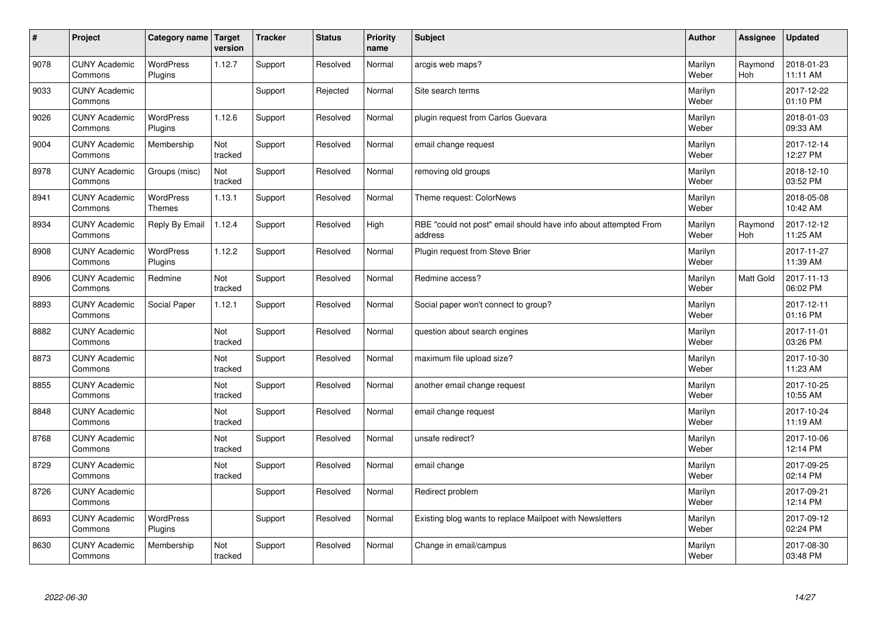| $\vert$ # | Project                         | Category name Target        | version        | <b>Tracker</b> | <b>Status</b> | <b>Priority</b><br>name | <b>Subject</b>                                                              | <b>Author</b>    | Assignee              | <b>Updated</b>         |
|-----------|---------------------------------|-----------------------------|----------------|----------------|---------------|-------------------------|-----------------------------------------------------------------------------|------------------|-----------------------|------------------------|
| 9078      | <b>CUNY Academic</b><br>Commons | <b>WordPress</b><br>Plugins | 1.12.7         | Support        | Resolved      | Normal                  | arcgis web maps?                                                            | Marilyn<br>Weber | Raymond<br><b>Hoh</b> | 2018-01-23<br>11:11 AM |
| 9033      | <b>CUNY Academic</b><br>Commons |                             |                | Support        | Rejected      | Normal                  | Site search terms                                                           | Marilyn<br>Weber |                       | 2017-12-22<br>01:10 PM |
| 9026      | <b>CUNY Academic</b><br>Commons | WordPress<br>Plugins        | 1.12.6         | Support        | Resolved      | Normal                  | plugin request from Carlos Guevara                                          | Marilyn<br>Weber |                       | 2018-01-03<br>09:33 AM |
| 9004      | <b>CUNY Academic</b><br>Commons | Membership                  | Not<br>tracked | Support        | Resolved      | Normal                  | email change request                                                        | Marilyn<br>Weber |                       | 2017-12-14<br>12:27 PM |
| 8978      | <b>CUNY Academic</b><br>Commons | Groups (misc)               | Not<br>tracked | Support        | Resolved      | Normal                  | removing old groups                                                         | Marilyn<br>Weber |                       | 2018-12-10<br>03:52 PM |
| 8941      | <b>CUNY Academic</b><br>Commons | WordPress<br><b>Themes</b>  | 1.13.1         | Support        | Resolved      | Normal                  | Theme request: ColorNews                                                    | Marilyn<br>Weber |                       | 2018-05-08<br>10:42 AM |
| 8934      | <b>CUNY Academic</b><br>Commons | Reply By Email              | 1.12.4         | Support        | Resolved      | High                    | RBE "could not post" email should have info about attempted From<br>address | Marilyn<br>Weber | Raymond<br>Hoh        | 2017-12-12<br>11:25 AM |
| 8908      | <b>CUNY Academic</b><br>Commons | WordPress<br>Plugins        | 1.12.2         | Support        | Resolved      | Normal                  | Plugin request from Steve Brier                                             | Marilyn<br>Weber |                       | 2017-11-27<br>11:39 AM |
| 8906      | <b>CUNY Academic</b><br>Commons | Redmine                     | Not<br>tracked | Support        | Resolved      | Normal                  | Redmine access?                                                             | Marilyn<br>Weber | <b>Matt Gold</b>      | 2017-11-13<br>06:02 PM |
| 8893      | <b>CUNY Academic</b><br>Commons | Social Paper                | 1.12.1         | Support        | Resolved      | Normal                  | Social paper won't connect to group?                                        | Marilyn<br>Weber |                       | 2017-12-11<br>01:16 PM |
| 8882      | <b>CUNY Academic</b><br>Commons |                             | Not<br>tracked | Support        | Resolved      | Normal                  | question about search engines                                               | Marilyn<br>Weber |                       | 2017-11-01<br>03:26 PM |
| 8873      | <b>CUNY Academic</b><br>Commons |                             | Not<br>tracked | Support        | Resolved      | Normal                  | maximum file upload size?                                                   | Marilyn<br>Weber |                       | 2017-10-30<br>11:23 AM |
| 8855      | <b>CUNY Academic</b><br>Commons |                             | Not<br>tracked | Support        | Resolved      | Normal                  | another email change request                                                | Marilyn<br>Weber |                       | 2017-10-25<br>10:55 AM |
| 8848      | <b>CUNY Academic</b><br>Commons |                             | Not<br>tracked | Support        | Resolved      | Normal                  | email change request                                                        | Marilyn<br>Weber |                       | 2017-10-24<br>11:19 AM |
| 8768      | <b>CUNY Academic</b><br>Commons |                             | Not<br>tracked | Support        | Resolved      | Normal                  | unsafe redirect?                                                            | Marilyn<br>Weber |                       | 2017-10-06<br>12:14 PM |
| 8729      | <b>CUNY Academic</b><br>Commons |                             | Not<br>tracked | Support        | Resolved      | Normal                  | email change                                                                | Marilyn<br>Weber |                       | 2017-09-25<br>02:14 PM |
| 8726      | <b>CUNY Academic</b><br>Commons |                             |                | Support        | Resolved      | Normal                  | Redirect problem                                                            | Marilyn<br>Weber |                       | 2017-09-21<br>12:14 PM |
| 8693      | <b>CUNY Academic</b><br>Commons | WordPress<br>Plugins        |                | Support        | Resolved      | Normal                  | Existing blog wants to replace Mailpoet with Newsletters                    | Marilyn<br>Weber |                       | 2017-09-12<br>02:24 PM |
| 8630      | <b>CUNY Academic</b><br>Commons | Membership                  | Not<br>tracked | Support        | Resolved      | Normal                  | Change in email/campus                                                      | Marilyn<br>Weber |                       | 2017-08-30<br>03:48 PM |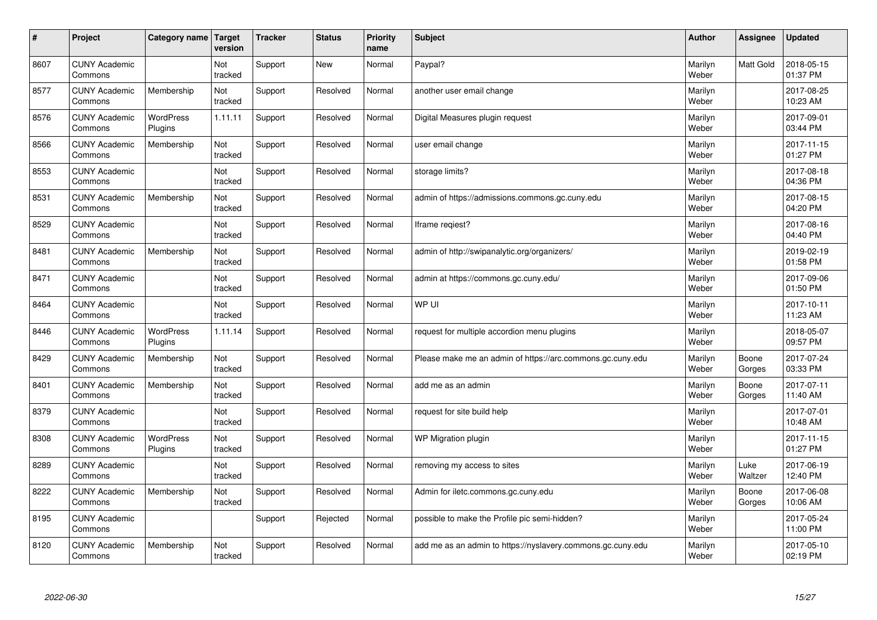| $\vert$ # | Project                         | <b>Category name</b>        | Target<br>version | <b>Tracker</b> | <b>Status</b> | <b>Priority</b><br>name | <b>Subject</b>                                              | <b>Author</b>    | Assignee        | <b>Updated</b>         |
|-----------|---------------------------------|-----------------------------|-------------------|----------------|---------------|-------------------------|-------------------------------------------------------------|------------------|-----------------|------------------------|
| 8607      | <b>CUNY Academic</b><br>Commons |                             | Not<br>tracked    | Support        | <b>New</b>    | Normal                  | Paypal?                                                     | Marilyn<br>Weber | Matt Gold       | 2018-05-15<br>01:37 PM |
| 8577      | <b>CUNY Academic</b><br>Commons | Membership                  | Not<br>tracked    | Support        | Resolved      | Normal                  | another user email change                                   | Marilyn<br>Weber |                 | 2017-08-25<br>10:23 AM |
| 8576      | <b>CUNY Academic</b><br>Commons | <b>WordPress</b><br>Plugins | 1.11.11           | Support        | Resolved      | Normal                  | Digital Measures plugin request                             | Marilyn<br>Weber |                 | 2017-09-01<br>03:44 PM |
| 8566      | <b>CUNY Academic</b><br>Commons | Membership                  | Not<br>tracked    | Support        | Resolved      | Normal                  | user email change                                           | Marilyn<br>Weber |                 | 2017-11-15<br>01:27 PM |
| 8553      | <b>CUNY Academic</b><br>Commons |                             | Not<br>tracked    | Support        | Resolved      | Normal                  | storage limits?                                             | Marilyn<br>Weber |                 | 2017-08-18<br>04:36 PM |
| 8531      | <b>CUNY Academic</b><br>Commons | Membership                  | Not<br>tracked    | Support        | Resolved      | Normal                  | admin of https://admissions.commons.gc.cuny.edu             | Marilyn<br>Weber |                 | 2017-08-15<br>04:20 PM |
| 8529      | <b>CUNY Academic</b><br>Commons |                             | Not<br>tracked    | Support        | Resolved      | Normal                  | Iframe regiest?                                             | Marilyn<br>Weber |                 | 2017-08-16<br>04:40 PM |
| 8481      | <b>CUNY Academic</b><br>Commons | Membership                  | Not<br>tracked    | Support        | Resolved      | Normal                  | admin of http://swipanalytic.org/organizers/                | Marilyn<br>Weber |                 | 2019-02-19<br>01:58 PM |
| 8471      | <b>CUNY Academic</b><br>Commons |                             | Not<br>tracked    | Support        | Resolved      | Normal                  | admin at https://commons.gc.cuny.edu/                       | Marilyn<br>Weber |                 | 2017-09-06<br>01:50 PM |
| 8464      | <b>CUNY Academic</b><br>Commons |                             | Not<br>tracked    | Support        | Resolved      | Normal                  | WP UI                                                       | Marilyn<br>Weber |                 | 2017-10-11<br>11:23 AM |
| 8446      | <b>CUNY Academic</b><br>Commons | <b>WordPress</b><br>Plugins | 1.11.14           | Support        | Resolved      | Normal                  | request for multiple accordion menu plugins                 | Marilyn<br>Weber |                 | 2018-05-07<br>09:57 PM |
| 8429      | <b>CUNY Academic</b><br>Commons | Membership                  | Not<br>tracked    | Support        | Resolved      | Normal                  | Please make me an admin of https://arc.commons.gc.cuny.edu  | Marilyn<br>Weber | Boone<br>Gorges | 2017-07-24<br>03:33 PM |
| 8401      | <b>CUNY Academic</b><br>Commons | Membership                  | Not<br>tracked    | Support        | Resolved      | Normal                  | add me as an admin                                          | Marilyn<br>Weber | Boone<br>Gorges | 2017-07-11<br>11:40 AM |
| 8379      | <b>CUNY Academic</b><br>Commons |                             | Not<br>tracked    | Support        | Resolved      | Normal                  | request for site build help                                 | Marilyn<br>Weber |                 | 2017-07-01<br>10:48 AM |
| 8308      | <b>CUNY Academic</b><br>Commons | WordPress<br>Plugins        | Not<br>tracked    | Support        | Resolved      | Normal                  | WP Migration plugin                                         | Marilyn<br>Weber |                 | 2017-11-15<br>01:27 PM |
| 8289      | <b>CUNY Academic</b><br>Commons |                             | Not<br>tracked    | Support        | Resolved      | Normal                  | removing my access to sites                                 | Marilyn<br>Weber | Luke<br>Waltzer | 2017-06-19<br>12:40 PM |
| 8222      | <b>CUNY Academic</b><br>Commons | Membership                  | Not<br>tracked    | Support        | Resolved      | Normal                  | Admin for iletc.commons.gc.cuny.edu                         | Marilyn<br>Weber | Boone<br>Gorges | 2017-06-08<br>10:06 AM |
| 8195      | <b>CUNY Academic</b><br>Commons |                             |                   | Support        | Rejected      | Normal                  | possible to make the Profile pic semi-hidden?               | Marilyn<br>Weber |                 | 2017-05-24<br>11:00 PM |
| 8120      | <b>CUNY Academic</b><br>Commons | Membership                  | Not<br>tracked    | Support        | Resolved      | Normal                  | add me as an admin to https://nyslavery.commons.gc.cuny.edu | Marilyn<br>Weber |                 | 2017-05-10<br>02:19 PM |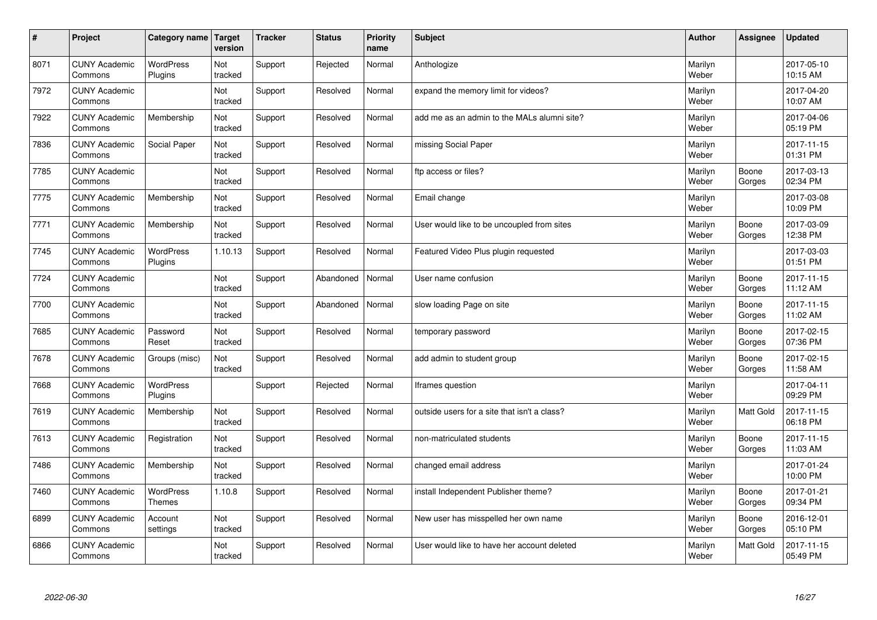| #    | Project                         | Category name   Target      | version        | <b>Tracker</b> | <b>Status</b> | <b>Priority</b><br>name | <b>Subject</b>                               | <b>Author</b>    | Assignee         | <b>Updated</b>         |
|------|---------------------------------|-----------------------------|----------------|----------------|---------------|-------------------------|----------------------------------------------|------------------|------------------|------------------------|
| 8071 | <b>CUNY Academic</b><br>Commons | <b>WordPress</b><br>Plugins | Not<br>tracked | Support        | Rejected      | Normal                  | Anthologize                                  | Marilyn<br>Weber |                  | 2017-05-10<br>10:15 AM |
| 7972 | <b>CUNY Academic</b><br>Commons |                             | Not<br>tracked | Support        | Resolved      | Normal                  | expand the memory limit for videos?          | Marilyn<br>Weber |                  | 2017-04-20<br>10:07 AM |
| 7922 | <b>CUNY Academic</b><br>Commons | Membership                  | Not<br>tracked | Support        | Resolved      | Normal                  | add me as an admin to the MALs alumni site?  | Marilyn<br>Weber |                  | 2017-04-06<br>05:19 PM |
| 7836 | <b>CUNY Academic</b><br>Commons | Social Paper                | Not<br>tracked | Support        | Resolved      | Normal                  | missing Social Paper                         | Marilyn<br>Weber |                  | 2017-11-15<br>01:31 PM |
| 7785 | <b>CUNY Academic</b><br>Commons |                             | Not<br>tracked | Support        | Resolved      | Normal                  | ftp access or files?                         | Marilyn<br>Weber | Boone<br>Gorges  | 2017-03-13<br>02:34 PM |
| 7775 | <b>CUNY Academic</b><br>Commons | Membership                  | Not<br>tracked | Support        | Resolved      | Normal                  | Email change                                 | Marilyn<br>Weber |                  | 2017-03-08<br>10:09 PM |
| 7771 | <b>CUNY Academic</b><br>Commons | Membership                  | Not<br>tracked | Support        | Resolved      | Normal                  | User would like to be uncoupled from sites   | Marilyn<br>Weber | Boone<br>Gorges  | 2017-03-09<br>12:38 PM |
| 7745 | <b>CUNY Academic</b><br>Commons | WordPress<br>Plugins        | 1.10.13        | Support        | Resolved      | Normal                  | Featured Video Plus plugin requested         | Marilyn<br>Weber |                  | 2017-03-03<br>01:51 PM |
| 7724 | <b>CUNY Academic</b><br>Commons |                             | Not<br>tracked | Support        | Abandoned     | Normal                  | User name confusion                          | Marilyn<br>Weber | Boone<br>Gorges  | 2017-11-15<br>11:12 AM |
| 7700 | <b>CUNY Academic</b><br>Commons |                             | Not<br>tracked | Support        | Abandoned     | Normal                  | slow loading Page on site                    | Marilyn<br>Weber | Boone<br>Gorges  | 2017-11-15<br>11:02 AM |
| 7685 | <b>CUNY Academic</b><br>Commons | Password<br>Reset           | Not<br>tracked | Support        | Resolved      | Normal                  | temporary password                           | Marilyn<br>Weber | Boone<br>Gorges  | 2017-02-15<br>07:36 PM |
| 7678 | <b>CUNY Academic</b><br>Commons | Groups (misc)               | Not<br>tracked | Support        | Resolved      | Normal                  | add admin to student group                   | Marilyn<br>Weber | Boone<br>Gorges  | 2017-02-15<br>11:58 AM |
| 7668 | <b>CUNY Academic</b><br>Commons | WordPress<br>Plugins        |                | Support        | Rejected      | Normal                  | Iframes question                             | Marilyn<br>Weber |                  | 2017-04-11<br>09:29 PM |
| 7619 | <b>CUNY Academic</b><br>Commons | Membership                  | Not<br>tracked | Support        | Resolved      | Normal                  | outside users for a site that isn't a class? | Marilyn<br>Weber | Matt Gold        | 2017-11-15<br>06:18 PM |
| 7613 | <b>CUNY Academic</b><br>Commons | Registration                | Not<br>tracked | Support        | Resolved      | Normal                  | non-matriculated students                    | Marilyn<br>Weber | Boone<br>Gorges  | 2017-11-15<br>11:03 AM |
| 7486 | <b>CUNY Academic</b><br>Commons | Membership                  | Not<br>tracked | Support        | Resolved      | Normal                  | changed email address                        | Marilyn<br>Weber |                  | 2017-01-24<br>10:00 PM |
| 7460 | <b>CUNY Academic</b><br>Commons | WordPress<br>Themes         | 1.10.8         | Support        | Resolved      | Normal                  | install Independent Publisher theme?         | Marilyn<br>Weber | Boone<br>Gorges  | 2017-01-21<br>09:34 PM |
| 6899 | <b>CUNY Academic</b><br>Commons | Account<br>settings         | Not<br>tracked | Support        | Resolved      | Normal                  | New user has misspelled her own name         | Marilyn<br>Weber | Boone<br>Gorges  | 2016-12-01<br>05:10 PM |
| 6866 | <b>CUNY Academic</b><br>Commons |                             | Not<br>tracked | Support        | Resolved      | Normal                  | User would like to have her account deleted  | Marilyn<br>Weber | <b>Matt Gold</b> | 2017-11-15<br>05:49 PM |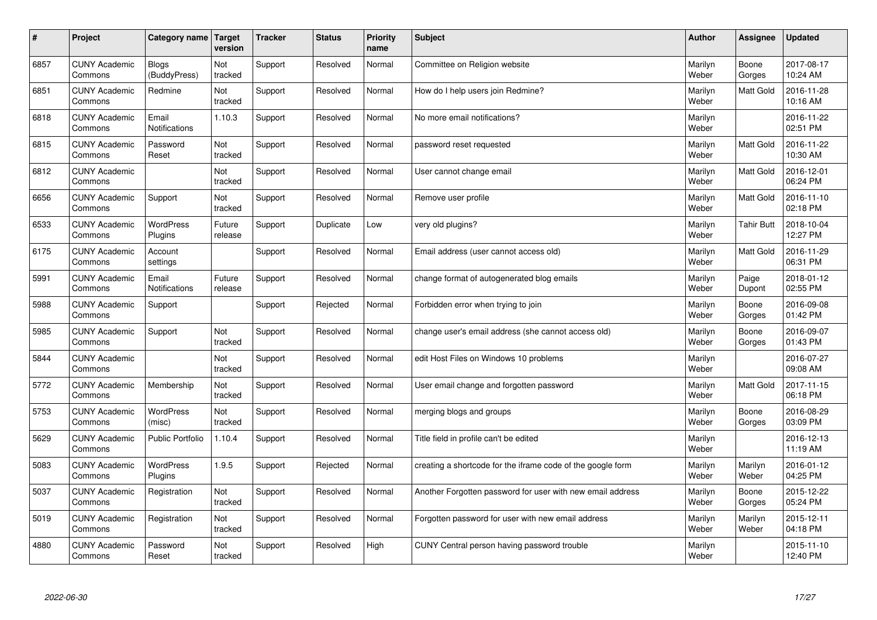| $\sharp$ | Project                         | Category name   Target        | version           | <b>Tracker</b> | <b>Status</b> | <b>Priority</b><br>name | <b>Subject</b>                                              | <b>Author</b>    | Assignee          | <b>Updated</b>         |
|----------|---------------------------------|-------------------------------|-------------------|----------------|---------------|-------------------------|-------------------------------------------------------------|------------------|-------------------|------------------------|
| 6857     | <b>CUNY Academic</b><br>Commons | <b>Blogs</b><br>(BuddyPress)  | Not<br>tracked    | Support        | Resolved      | Normal                  | Committee on Religion website                               | Marilyn<br>Weber | Boone<br>Gorges   | 2017-08-17<br>10:24 AM |
| 6851     | <b>CUNY Academic</b><br>Commons | Redmine                       | Not<br>tracked    | Support        | Resolved      | Normal                  | How do I help users join Redmine?                           | Marilyn<br>Weber | <b>Matt Gold</b>  | 2016-11-28<br>10:16 AM |
| 6818     | <b>CUNY Academic</b><br>Commons | Email<br><b>Notifications</b> | 1.10.3            | Support        | Resolved      | Normal                  | No more email notifications?                                | Marilyn<br>Weber |                   | 2016-11-22<br>02:51 PM |
| 6815     | <b>CUNY Academic</b><br>Commons | Password<br>Reset             | Not<br>tracked    | Support        | Resolved      | Normal                  | password reset requested                                    | Marilyn<br>Weber | Matt Gold         | 2016-11-22<br>10:30 AM |
| 6812     | <b>CUNY Academic</b><br>Commons |                               | Not<br>tracked    | Support        | Resolved      | Normal                  | User cannot change email                                    | Marilyn<br>Weber | Matt Gold         | 2016-12-01<br>06:24 PM |
| 6656     | <b>CUNY Academic</b><br>Commons | Support                       | Not<br>tracked    | Support        | Resolved      | Normal                  | Remove user profile                                         | Marilyn<br>Weber | <b>Matt Gold</b>  | 2016-11-10<br>02:18 PM |
| 6533     | <b>CUNY Academic</b><br>Commons | <b>WordPress</b><br>Plugins   | Future<br>release | Support        | Duplicate     | Low                     | very old plugins?                                           | Marilyn<br>Weber | <b>Tahir Butt</b> | 2018-10-04<br>12:27 PM |
| 6175     | <b>CUNY Academic</b><br>Commons | Account<br>settings           |                   | Support        | Resolved      | Normal                  | Email address (user cannot access old)                      | Marilyn<br>Weber | Matt Gold         | 2016-11-29<br>06:31 PM |
| 5991     | <b>CUNY Academic</b><br>Commons | Email<br>Notifications        | Future<br>release | Support        | Resolved      | Normal                  | change format of autogenerated blog emails                  | Marilyn<br>Weber | Paige<br>Dupont   | 2018-01-12<br>02:55 PM |
| 5988     | <b>CUNY Academic</b><br>Commons | Support                       |                   | Support        | Rejected      | Normal                  | Forbidden error when trying to join                         | Marilyn<br>Weber | Boone<br>Gorges   | 2016-09-08<br>01:42 PM |
| 5985     | <b>CUNY Academic</b><br>Commons | Support                       | Not<br>tracked    | Support        | Resolved      | Normal                  | change user's email address (she cannot access old)         | Marilyn<br>Weber | Boone<br>Gorges   | 2016-09-07<br>01:43 PM |
| 5844     | <b>CUNY Academic</b><br>Commons |                               | Not<br>tracked    | Support        | Resolved      | Normal                  | edit Host Files on Windows 10 problems                      | Marilyn<br>Weber |                   | 2016-07-27<br>09:08 AM |
| 5772     | <b>CUNY Academic</b><br>Commons | Membership                    | Not<br>tracked    | Support        | Resolved      | Normal                  | User email change and forgotten password                    | Marilyn<br>Weber | <b>Matt Gold</b>  | 2017-11-15<br>06:18 PM |
| 5753     | <b>CUNY Academic</b><br>Commons | WordPress<br>(misc)           | Not<br>tracked    | Support        | Resolved      | Normal                  | merging blogs and groups                                    | Marilyn<br>Weber | Boone<br>Gorges   | 2016-08-29<br>03:09 PM |
| 5629     | <b>CUNY Academic</b><br>Commons | <b>Public Portfolio</b>       | 1.10.4            | Support        | Resolved      | Normal                  | Title field in profile can't be edited                      | Marilyn<br>Weber |                   | 2016-12-13<br>11:19 AM |
| 5083     | <b>CUNY Academic</b><br>Commons | <b>WordPress</b><br>Plugins   | 1.9.5             | Support        | Rejected      | Normal                  | creating a shortcode for the iframe code of the google form | Marilyn<br>Weber | Marilyn<br>Weber  | 2016-01-12<br>04:25 PM |
| 5037     | <b>CUNY Academic</b><br>Commons | Registration                  | Not<br>tracked    | Support        | Resolved      | Normal                  | Another Forgotten password for user with new email address  | Marilyn<br>Weber | Boone<br>Gorges   | 2015-12-22<br>05:24 PM |
| 5019     | <b>CUNY Academic</b><br>Commons | Registration                  | Not<br>tracked    | Support        | Resolved      | Normal                  | Forgotten password for user with new email address          | Marilyn<br>Weber | Marilyn<br>Weber  | 2015-12-11<br>04:18 PM |
| 4880     | <b>CUNY Academic</b><br>Commons | Password<br>Reset             | Not<br>tracked    | Support        | Resolved      | High                    | CUNY Central person having password trouble                 | Marilyn<br>Weber |                   | 2015-11-10<br>12:40 PM |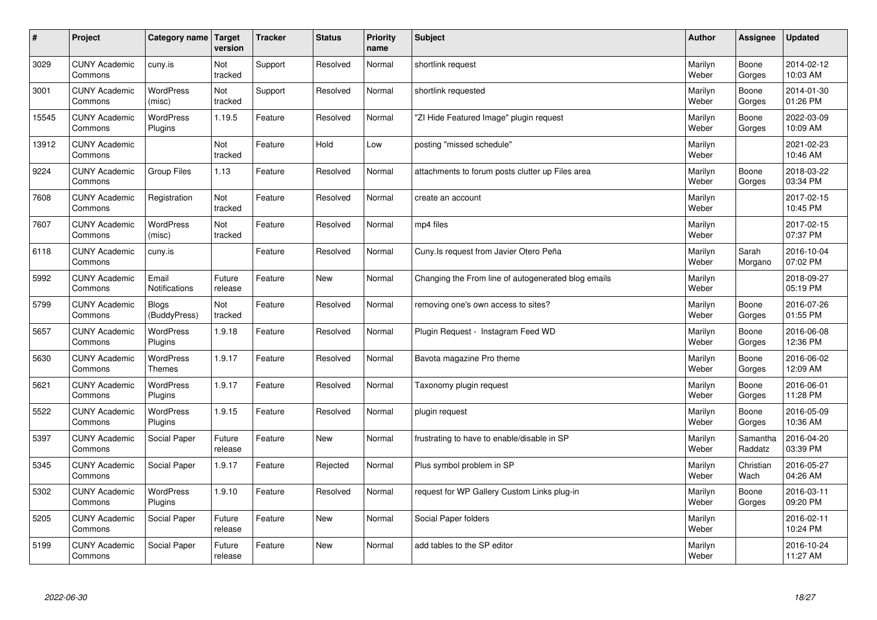| $\sharp$ | Project                         | Category name   Target            | version           | <b>Tracker</b> | <b>Status</b> | <b>Priority</b><br>name | <b>Subject</b>                                      | <b>Author</b>    | Assignee            | <b>Updated</b>         |
|----------|---------------------------------|-----------------------------------|-------------------|----------------|---------------|-------------------------|-----------------------------------------------------|------------------|---------------------|------------------------|
| 3029     | <b>CUNY Academic</b><br>Commons | cuny.is                           | Not<br>tracked    | Support        | Resolved      | Normal                  | shortlink request                                   | Marilyn<br>Weber | Boone<br>Gorges     | 2014-02-12<br>10:03 AM |
| 3001     | <b>CUNY Academic</b><br>Commons | <b>WordPress</b><br>(misc)        | Not<br>tracked    | Support        | Resolved      | Normal                  | shortlink requested                                 | Marilyn<br>Weber | Boone<br>Gorges     | 2014-01-30<br>01:26 PM |
| 15545    | <b>CUNY Academic</b><br>Commons | <b>WordPress</b><br>Plugins       | 1.19.5            | Feature        | Resolved      | Normal                  | "ZI Hide Featured Image" plugin request             | Marilyn<br>Weber | Boone<br>Gorges     | 2022-03-09<br>10:09 AM |
| 13912    | <b>CUNY Academic</b><br>Commons |                                   | Not<br>tracked    | Feature        | Hold          | Low                     | posting "missed schedule"                           | Marilyn<br>Weber |                     | 2021-02-23<br>10:46 AM |
| 9224     | <b>CUNY Academic</b><br>Commons | <b>Group Files</b>                | 1.13              | Feature        | Resolved      | Normal                  | attachments to forum posts clutter up Files area    | Marilyn<br>Weber | Boone<br>Gorges     | 2018-03-22<br>03:34 PM |
| 7608     | <b>CUNY Academic</b><br>Commons | Registration                      | Not<br>tracked    | Feature        | Resolved      | Normal                  | create an account                                   | Marilyn<br>Weber |                     | 2017-02-15<br>10:45 PM |
| 7607     | <b>CUNY Academic</b><br>Commons | <b>WordPress</b><br>(misc)        | Not<br>tracked    | Feature        | Resolved      | Normal                  | mp4 files                                           | Marilyn<br>Weber |                     | 2017-02-15<br>07:37 PM |
| 6118     | <b>CUNY Academic</b><br>Commons | cuny.is                           |                   | Feature        | Resolved      | Normal                  | Cuny. Is request from Javier Otero Peña             | Marilyn<br>Weber | Sarah<br>Morgano    | 2016-10-04<br>07:02 PM |
| 5992     | <b>CUNY Academic</b><br>Commons | Email<br>Notifications            | Future<br>release | Feature        | <b>New</b>    | Normal                  | Changing the From line of autogenerated blog emails | Marilyn<br>Weber |                     | 2018-09-27<br>05:19 PM |
| 5799     | <b>CUNY Academic</b><br>Commons | <b>Blogs</b><br>(BuddyPress)      | Not<br>tracked    | Feature        | Resolved      | Normal                  | removing one's own access to sites?                 | Marilyn<br>Weber | Boone<br>Gorges     | 2016-07-26<br>01:55 PM |
| 5657     | <b>CUNY Academic</b><br>Commons | WordPress<br>Plugins              | 1.9.18            | Feature        | Resolved      | Normal                  | Plugin Request - Instagram Feed WD                  | Marilyn<br>Weber | Boone<br>Gorges     | 2016-06-08<br>12:36 PM |
| 5630     | <b>CUNY Academic</b><br>Commons | <b>WordPress</b><br><b>Themes</b> | 1.9.17            | Feature        | Resolved      | Normal                  | Bavota magazine Pro theme                           | Marilyn<br>Weber | Boone<br>Gorges     | 2016-06-02<br>12:09 AM |
| 5621     | <b>CUNY Academic</b><br>Commons | <b>WordPress</b><br>Plugins       | 1.9.17            | Feature        | Resolved      | Normal                  | Taxonomy plugin request                             | Marilyn<br>Weber | Boone<br>Gorges     | 2016-06-01<br>11:28 PM |
| 5522     | <b>CUNY Academic</b><br>Commons | WordPress<br>Plugins              | 1.9.15            | Feature        | Resolved      | Normal                  | plugin request                                      | Marilyn<br>Weber | Boone<br>Gorges     | 2016-05-09<br>10:36 AM |
| 5397     | <b>CUNY Academic</b><br>Commons | Social Paper                      | Future<br>release | Feature        | <b>New</b>    | Normal                  | frustrating to have to enable/disable in SP         | Marilyn<br>Weber | Samantha<br>Raddatz | 2016-04-20<br>03:39 PM |
| 5345     | <b>CUNY Academic</b><br>Commons | Social Paper                      | 1.9.17            | Feature        | Rejected      | Normal                  | Plus symbol problem in SP                           | Marilyn<br>Weber | Christian<br>Wach   | 2016-05-27<br>04:26 AM |
| 5302     | <b>CUNY Academic</b><br>Commons | WordPress<br>Plugins              | 1.9.10            | Feature        | Resolved      | Normal                  | request for WP Gallery Custom Links plug-in         | Marilyn<br>Weber | Boone<br>Gorges     | 2016-03-11<br>09:20 PM |
| 5205     | <b>CUNY Academic</b><br>Commons | Social Paper                      | Future<br>release | Feature        | <b>New</b>    | Normal                  | Social Paper folders                                | Marilyn<br>Weber |                     | 2016-02-11<br>10:24 PM |
| 5199     | <b>CUNY Academic</b><br>Commons | Social Paper                      | Future<br>release | Feature        | <b>New</b>    | Normal                  | add tables to the SP editor                         | Marilyn<br>Weber |                     | 2016-10-24<br>11:27 AM |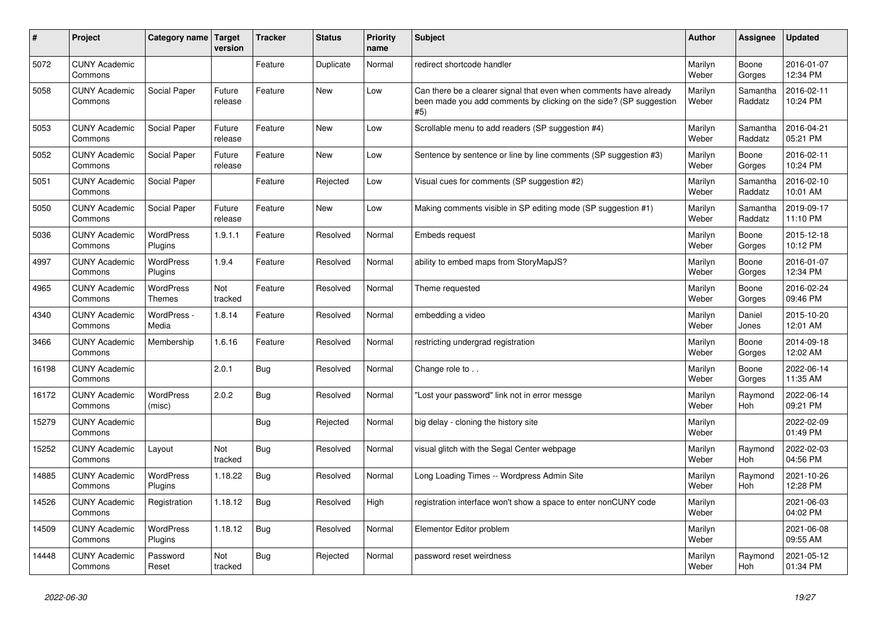| ∦     | Project                         | Category name Target        | version           | <b>Tracker</b> | <b>Status</b> | <b>Priority</b><br>name | <b>Subject</b>                                                                                                                                  | <b>Author</b>    | Assignee              | <b>Updated</b>         |
|-------|---------------------------------|-----------------------------|-------------------|----------------|---------------|-------------------------|-------------------------------------------------------------------------------------------------------------------------------------------------|------------------|-----------------------|------------------------|
| 5072  | <b>CUNY Academic</b><br>Commons |                             |                   | Feature        | Duplicate     | Normal                  | redirect shortcode handler                                                                                                                      | Marilyn<br>Weber | Boone<br>Gorges       | 2016-01-07<br>12:34 PM |
| 5058  | <b>CUNY Academic</b><br>Commons | Social Paper                | Future<br>release | Feature        | <b>New</b>    | Low                     | Can there be a clearer signal that even when comments have already<br>been made you add comments by clicking on the side? (SP suggestion<br>#5) | Marilyn<br>Weber | Samantha<br>Raddatz   | 2016-02-11<br>10:24 PM |
| 5053  | <b>CUNY Academic</b><br>Commons | Social Paper                | Future<br>release | Feature        | <b>New</b>    | Low                     | Scrollable menu to add readers (SP suggestion #4)                                                                                               | Marilyn<br>Weber | Samantha<br>Raddatz   | 2016-04-21<br>05:21 PM |
| 5052  | <b>CUNY Academic</b><br>Commons | Social Paper                | Future<br>release | Feature        | <b>New</b>    | Low                     | Sentence by sentence or line by line comments (SP suggestion #3)                                                                                | Marilyn<br>Weber | Boone<br>Gorges       | 2016-02-11<br>10:24 PM |
| 5051  | <b>CUNY Academic</b><br>Commons | Social Paper                |                   | Feature        | Rejected      | Low                     | Visual cues for comments (SP suggestion #2)                                                                                                     | Marilyn<br>Weber | Samantha<br>Raddatz   | 2016-02-10<br>10:01 AM |
| 5050  | <b>CUNY Academic</b><br>Commons | Social Paper                | Future<br>release | Feature        | <b>New</b>    | Low                     | Making comments visible in SP editing mode (SP suggestion #1)                                                                                   | Marilyn<br>Weber | Samantha<br>Raddatz   | 2019-09-17<br>11:10 PM |
| 5036  | <b>CUNY Academic</b><br>Commons | <b>WordPress</b><br>Plugins | 1.9.1.1           | Feature        | Resolved      | Normal                  | Embeds request                                                                                                                                  | Marilyn<br>Weber | Boone<br>Gorges       | 2015-12-18<br>10:12 PM |
| 4997  | <b>CUNY Academic</b><br>Commons | <b>WordPress</b><br>Plugins | 1.9.4             | Feature        | Resolved      | Normal                  | ability to embed maps from StoryMapJS?                                                                                                          | Marilyn<br>Weber | Boone<br>Gorges       | 2016-01-07<br>12:34 PM |
| 4965  | <b>CUNY Academic</b><br>Commons | <b>WordPress</b><br>Themes  | Not<br>tracked    | Feature        | Resolved      | Normal                  | Theme requested                                                                                                                                 | Marilyn<br>Weber | Boone<br>Gorges       | 2016-02-24<br>09:46 PM |
| 4340  | <b>CUNY Academic</b><br>Commons | WordPress -<br>Media        | 1.8.14            | Feature        | Resolved      | Normal                  | embedding a video                                                                                                                               | Marilyn<br>Weber | Daniel<br>Jones       | 2015-10-20<br>12:01 AM |
| 3466  | <b>CUNY Academic</b><br>Commons | Membership                  | 1.6.16            | Feature        | Resolved      | Normal                  | restricting undergrad registration                                                                                                              | Marilyn<br>Weber | Boone<br>Gorges       | 2014-09-18<br>12:02 AM |
| 16198 | <b>CUNY Academic</b><br>Commons |                             | 2.0.1             | <b>Bug</b>     | Resolved      | Normal                  | Change role to                                                                                                                                  | Marilyn<br>Weber | Boone<br>Gorges       | 2022-06-14<br>11:35 AM |
| 16172 | <b>CUNY Academic</b><br>Commons | <b>WordPress</b><br>(misc)  | 2.0.2             | <b>Bug</b>     | Resolved      | Normal                  | 'Lost your password" link not in error messge                                                                                                   | Marilyn<br>Weber | Raymond<br>Hoh        | 2022-06-14<br>09:21 PM |
| 15279 | <b>CUNY Academic</b><br>Commons |                             |                   | <b>Bug</b>     | Rejected      | Normal                  | big delay - cloning the history site                                                                                                            | Marilyn<br>Weber |                       | 2022-02-09<br>01:49 PM |
| 15252 | <b>CUNY Academic</b><br>Commons | Layout                      | Not<br>tracked    | Bug            | Resolved      | Normal                  | visual glitch with the Segal Center webpage                                                                                                     | Marilyn<br>Weber | Raymond<br>Hoh        | 2022-02-03<br>04:56 PM |
| 14885 | <b>CUNY Academic</b><br>Commons | WordPress<br>Plugins        | 1.18.22           | <b>Bug</b>     | Resolved      | Normal                  | Long Loading Times -- Wordpress Admin Site                                                                                                      | Marilyn<br>Weber | Raymond<br><b>Hoh</b> | 2021-10-26<br>12:28 PM |
| 14526 | <b>CUNY Academic</b><br>Commons | Registration                | 1.18.12           | <b>Bug</b>     | Resolved      | High                    | registration interface won't show a space to enter nonCUNY code                                                                                 | Marilyn<br>Weber |                       | 2021-06-03<br>04:02 PM |
| 14509 | <b>CUNY Academic</b><br>Commons | WordPress<br>Plugins        | 1.18.12           | Bug            | Resolved      | Normal                  | Elementor Editor problem                                                                                                                        | Marilyn<br>Weber |                       | 2021-06-08<br>09:55 AM |
| 14448 | <b>CUNY Academic</b><br>Commons | Password<br>Reset           | Not<br>tracked    | <b>Bug</b>     | Rejected      | Normal                  | password reset weirdness                                                                                                                        | Marilyn<br>Weber | Raymond<br>Hoh        | 2021-05-12<br>01:34 PM |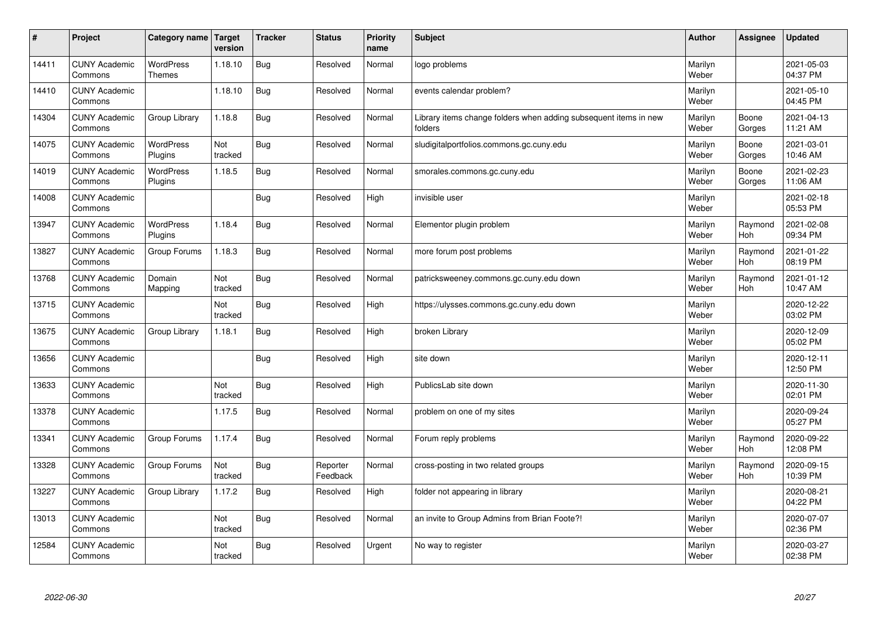| $\sharp$ | Project                         | Category name   Target            | version        | <b>Tracker</b> | <b>Status</b>        | <b>Priority</b><br>name | <b>Subject</b>                                                              | <b>Author</b>    | <b>Assignee</b>       | <b>Updated</b>         |
|----------|---------------------------------|-----------------------------------|----------------|----------------|----------------------|-------------------------|-----------------------------------------------------------------------------|------------------|-----------------------|------------------------|
| 14411    | <b>CUNY Academic</b><br>Commons | <b>WordPress</b><br><b>Themes</b> | 1.18.10        | <b>Bug</b>     | Resolved             | Normal                  | logo problems                                                               | Marilyn<br>Weber |                       | 2021-05-03<br>04:37 PM |
| 14410    | <b>CUNY Academic</b><br>Commons |                                   | 1.18.10        | Bug            | Resolved             | Normal                  | events calendar problem?                                                    | Marilyn<br>Weber |                       | 2021-05-10<br>04:45 PM |
| 14304    | <b>CUNY Academic</b><br>Commons | Group Library                     | 1.18.8         | <b>Bug</b>     | Resolved             | Normal                  | Library items change folders when adding subsequent items in new<br>folders | Marilyn<br>Weber | Boone<br>Gorges       | 2021-04-13<br>11:21 AM |
| 14075    | <b>CUNY Academic</b><br>Commons | <b>WordPress</b><br>Plugins       | Not<br>tracked | <b>Bug</b>     | Resolved             | Normal                  | sludigitalportfolios.commons.gc.cuny.edu                                    | Marilyn<br>Weber | Boone<br>Gorges       | 2021-03-01<br>10:46 AM |
| 14019    | <b>CUNY Academic</b><br>Commons | <b>WordPress</b><br>Plugins       | 1.18.5         | Bug            | Resolved             | Normal                  | smorales.commons.gc.cuny.edu                                                | Marilyn<br>Weber | Boone<br>Gorges       | 2021-02-23<br>11:06 AM |
| 14008    | <b>CUNY Academic</b><br>Commons |                                   |                | Bug            | Resolved             | High                    | invisible user                                                              | Marilyn<br>Weber |                       | 2021-02-18<br>05:53 PM |
| 13947    | <b>CUNY Academic</b><br>Commons | <b>WordPress</b><br>Plugins       | 1.18.4         | Bug            | Resolved             | Normal                  | Elementor plugin problem                                                    | Marilyn<br>Weber | Raymond<br>Hoh        | 2021-02-08<br>09:34 PM |
| 13827    | <b>CUNY Academic</b><br>Commons | Group Forums                      | 1.18.3         | Bug            | Resolved             | Normal                  | more forum post problems                                                    | Marilyn<br>Weber | Raymond<br>Hoh        | 2021-01-22<br>08:19 PM |
| 13768    | <b>CUNY Academic</b><br>Commons | Domain<br>Mapping                 | Not<br>tracked | <b>Bug</b>     | Resolved             | Normal                  | patricksweeney.commons.gc.cuny.edu down                                     | Marilyn<br>Weber | Raymond<br>Hoh        | 2021-01-12<br>10:47 AM |
| 13715    | <b>CUNY Academic</b><br>Commons |                                   | Not<br>tracked | Bug            | Resolved             | High                    | https://ulysses.commons.gc.cuny.edu down                                    | Marilyn<br>Weber |                       | 2020-12-22<br>03:02 PM |
| 13675    | <b>CUNY Academic</b><br>Commons | Group Library                     | 1.18.1         | Bug            | Resolved             | High                    | broken Library                                                              | Marilyn<br>Weber |                       | 2020-12-09<br>05:02 PM |
| 13656    | <b>CUNY Academic</b><br>Commons |                                   |                | Bug            | Resolved             | High                    | site down                                                                   | Marilyn<br>Weber |                       | 2020-12-11<br>12:50 PM |
| 13633    | <b>CUNY Academic</b><br>Commons |                                   | Not<br>tracked | Bug            | Resolved             | High                    | PublicsLab site down                                                        | Marilyn<br>Weber |                       | 2020-11-30<br>02:01 PM |
| 13378    | <b>CUNY Academic</b><br>Commons |                                   | 1.17.5         | Bug            | Resolved             | Normal                  | problem on one of my sites                                                  | Marilyn<br>Weber |                       | 2020-09-24<br>05:27 PM |
| 13341    | <b>CUNY Academic</b><br>Commons | Group Forums                      | 1.17.4         | Bug            | Resolved             | Normal                  | Forum reply problems                                                        | Marilyn<br>Weber | Raymond<br><b>Hoh</b> | 2020-09-22<br>12:08 PM |
| 13328    | <b>CUNY Academic</b><br>Commons | Group Forums                      | Not<br>tracked | Bug            | Reporter<br>Feedback | Normal                  | cross-posting in two related groups                                         | Marilyn<br>Weber | Raymond<br><b>Hoh</b> | 2020-09-15<br>10:39 PM |
| 13227    | <b>CUNY Academic</b><br>Commons | Group Library                     | 1.17.2         | Bug            | Resolved             | High                    | folder not appearing in library                                             | Marilyn<br>Weber |                       | 2020-08-21<br>04:22 PM |
| 13013    | <b>CUNY Academic</b><br>Commons |                                   | Not<br>tracked | Bug            | Resolved             | Normal                  | an invite to Group Admins from Brian Foote?!                                | Marilyn<br>Weber |                       | 2020-07-07<br>02:36 PM |
| 12584    | <b>CUNY Academic</b><br>Commons |                                   | Not<br>tracked | Bug            | Resolved             | Urgent                  | No way to register                                                          | Marilyn<br>Weber |                       | 2020-03-27<br>02:38 PM |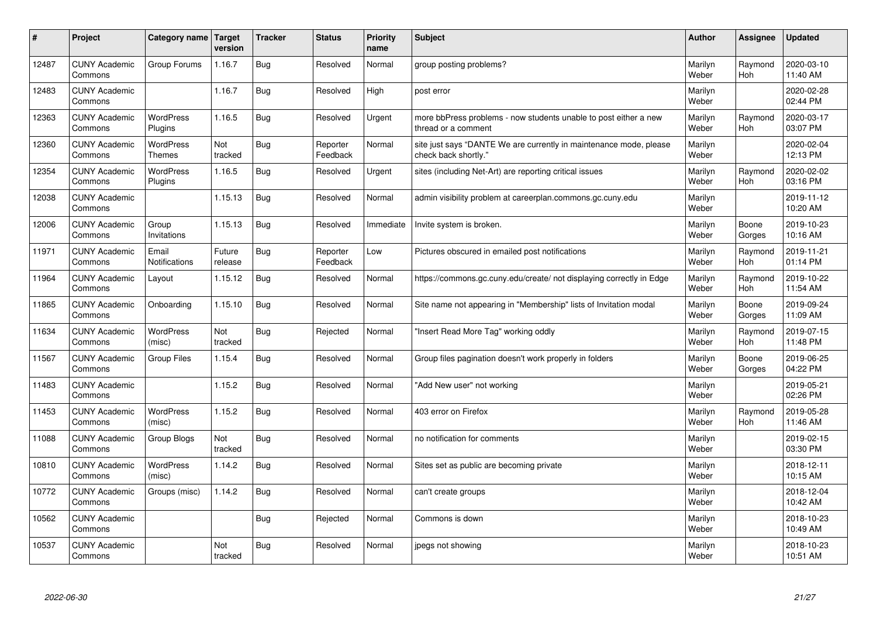| $\sharp$ | Project                         | Category name   Target            | version           | <b>Tracker</b> | <b>Status</b>        | <b>Priority</b><br>name | <b>Subject</b>                                                                             | <b>Author</b>    | Assignee              | <b>Updated</b>         |
|----------|---------------------------------|-----------------------------------|-------------------|----------------|----------------------|-------------------------|--------------------------------------------------------------------------------------------|------------------|-----------------------|------------------------|
| 12487    | <b>CUNY Academic</b><br>Commons | Group Forums                      | 1.16.7            | Bug            | Resolved             | Normal                  | group posting problems?                                                                    | Marilyn<br>Weber | Raymond<br><b>Hoh</b> | 2020-03-10<br>11:40 AM |
| 12483    | <b>CUNY Academic</b><br>Commons |                                   | 1.16.7            | Bug            | Resolved             | High                    | post error                                                                                 | Marilyn<br>Weber |                       | 2020-02-28<br>02:44 PM |
| 12363    | <b>CUNY Academic</b><br>Commons | <b>WordPress</b><br>Plugins       | 1.16.5            | Bug            | Resolved             | Urgent                  | more bbPress problems - now students unable to post either a new<br>thread or a comment    | Marilyn<br>Weber | Raymond<br>Hoh        | 2020-03-17<br>03:07 PM |
| 12360    | <b>CUNY Academic</b><br>Commons | <b>WordPress</b><br><b>Themes</b> | Not<br>tracked    | <b>Bug</b>     | Reporter<br>Feedback | Normal                  | site just says "DANTE We are currently in maintenance mode, please<br>check back shortly." | Marilyn<br>Weber |                       | 2020-02-04<br>12:13 PM |
| 12354    | <b>CUNY Academic</b><br>Commons | <b>WordPress</b><br>Plugins       | 1.16.5            | Bug            | Resolved             | Urgent                  | sites (including Net-Art) are reporting critical issues                                    | Marilyn<br>Weber | Raymond<br><b>Hoh</b> | 2020-02-02<br>03:16 PM |
| 12038    | <b>CUNY Academic</b><br>Commons |                                   | 1.15.13           | Bug            | Resolved             | Normal                  | admin visibility problem at careerplan.commons.gc.cuny.edu                                 | Marilyn<br>Weber |                       | 2019-11-12<br>10:20 AM |
| 12006    | <b>CUNY Academic</b><br>Commons | Group<br>Invitations              | 1.15.13           | Bug            | Resolved             | Immediate               | Invite system is broken.                                                                   | Marilyn<br>Weber | Boone<br>Gorges       | 2019-10-23<br>10:16 AM |
| 11971    | <b>CUNY Academic</b><br>Commons | Email<br><b>Notifications</b>     | Future<br>release | Bug            | Reporter<br>Feedback | Low                     | Pictures obscured in emailed post notifications                                            | Marilyn<br>Weber | Raymond<br><b>Hoh</b> | 2019-11-21<br>01:14 PM |
| 11964    | <b>CUNY Academic</b><br>Commons | Layout                            | 1.15.12           | Bug            | Resolved             | Normal                  | https://commons.gc.cuny.edu/create/ not displaying correctly in Edge                       | Marilyn<br>Weber | Raymond<br>Hoh        | 2019-10-22<br>11:54 AM |
| 11865    | <b>CUNY Academic</b><br>Commons | Onboarding                        | 1.15.10           | Bug            | Resolved             | Normal                  | Site name not appearing in "Membership" lists of Invitation modal                          | Marilyn<br>Weber | Boone<br>Gorges       | 2019-09-24<br>11:09 AM |
| 11634    | <b>CUNY Academic</b><br>Commons | <b>WordPress</b><br>(misc)        | Not<br>tracked    | Bug            | Rejected             | Normal                  | 'Insert Read More Tag" working oddly                                                       | Marilyn<br>Weber | Raymond<br>Hoh        | 2019-07-15<br>11:48 PM |
| 11567    | <b>CUNY Academic</b><br>Commons | <b>Group Files</b>                | 1.15.4            | <b>Bug</b>     | Resolved             | Normal                  | Group files pagination doesn't work properly in folders                                    | Marilyn<br>Weber | Boone<br>Gorges       | 2019-06-25<br>04:22 PM |
| 11483    | <b>CUNY Academic</b><br>Commons |                                   | 1.15.2            | Bug            | Resolved             | Normal                  | 'Add New user" not working                                                                 | Marilyn<br>Weber |                       | 2019-05-21<br>02:26 PM |
| 11453    | <b>CUNY Academic</b><br>Commons | WordPress<br>(misc)               | 1.15.2            | Bug            | Resolved             | Normal                  | 403 error on Firefox                                                                       | Marilyn<br>Weber | Raymond<br><b>Hoh</b> | 2019-05-28<br>11:46 AM |
| 11088    | <b>CUNY Academic</b><br>Commons | Group Blogs                       | Not<br>tracked    | <b>Bug</b>     | Resolved             | Normal                  | no notification for comments                                                               | Marilyn<br>Weber |                       | 2019-02-15<br>03:30 PM |
| 10810    | <b>CUNY Academic</b><br>Commons | <b>WordPress</b><br>(misc)        | 1.14.2            | Bug            | Resolved             | Normal                  | Sites set as public are becoming private                                                   | Marilyn<br>Weber |                       | 2018-12-11<br>10:15 AM |
| 10772    | <b>CUNY Academic</b><br>Commons | Groups (misc)                     | 1.14.2            | Bug            | Resolved             | Normal                  | can't create groups                                                                        | Marilyn<br>Weber |                       | 2018-12-04<br>10:42 AM |
| 10562    | <b>CUNY Academic</b><br>Commons |                                   |                   | <b>Bug</b>     | Rejected             | Normal                  | Commons is down                                                                            | Marilyn<br>Weber |                       | 2018-10-23<br>10:49 AM |
| 10537    | <b>CUNY Academic</b><br>Commons |                                   | Not<br>tracked    | Bug            | Resolved             | Normal                  | jpegs not showing                                                                          | Marilyn<br>Weber |                       | 2018-10-23<br>10:51 AM |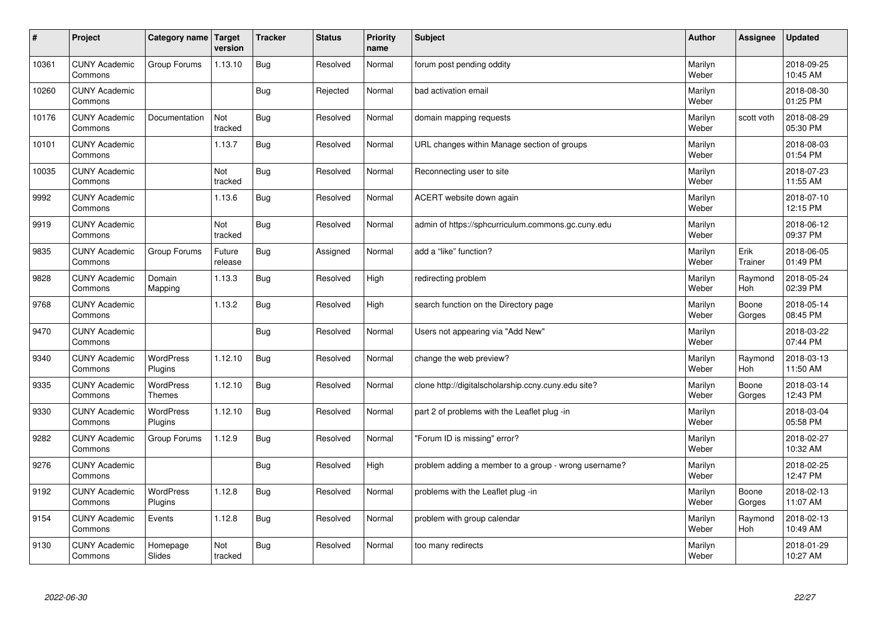| $\sharp$ | Project                         | Category name   Target            | version           | <b>Tracker</b> | <b>Status</b> | <b>Priority</b><br>name | <b>Subject</b>                                       | <b>Author</b>    | Assignee              | <b>Updated</b>         |
|----------|---------------------------------|-----------------------------------|-------------------|----------------|---------------|-------------------------|------------------------------------------------------|------------------|-----------------------|------------------------|
| 10361    | <b>CUNY Academic</b><br>Commons | Group Forums                      | 1.13.10           | Bug            | Resolved      | Normal                  | forum post pending oddity                            | Marilyn<br>Weber |                       | 2018-09-25<br>10:45 AM |
| 10260    | <b>CUNY Academic</b><br>Commons |                                   |                   | Bug            | Rejected      | Normal                  | bad activation email                                 | Marilyn<br>Weber |                       | 2018-08-30<br>01:25 PM |
| 10176    | <b>CUNY Academic</b><br>Commons | Documentation                     | Not<br>tracked    | <b>Bug</b>     | Resolved      | Normal                  | domain mapping requests                              | Marilyn<br>Weber | scott voth            | 2018-08-29<br>05:30 PM |
| 10101    | <b>CUNY Academic</b><br>Commons |                                   | 1.13.7            | Bug            | Resolved      | Normal                  | URL changes within Manage section of groups          | Marilyn<br>Weber |                       | 2018-08-03<br>01:54 PM |
| 10035    | <b>CUNY Academic</b><br>Commons |                                   | Not<br>tracked    | <b>Bug</b>     | Resolved      | Normal                  | Reconnecting user to site                            | Marilyn<br>Weber |                       | 2018-07-23<br>11:55 AM |
| 9992     | <b>CUNY Academic</b><br>Commons |                                   | 1.13.6            | Bug            | Resolved      | Normal                  | ACERT website down again                             | Marilyn<br>Weber |                       | 2018-07-10<br>12:15 PM |
| 9919     | <b>CUNY Academic</b><br>Commons |                                   | Not<br>tracked    | Bug            | Resolved      | Normal                  | admin of https://sphcurriculum.commons.gc.cuny.edu   | Marilyn<br>Weber |                       | 2018-06-12<br>09:37 PM |
| 9835     | <b>CUNY Academic</b><br>Commons | Group Forums                      | Future<br>release | Bug            | Assigned      | Normal                  | add a "like" function?                               | Marilyn<br>Weber | Erik<br>Trainer       | 2018-06-05<br>01:49 PM |
| 9828     | <b>CUNY Academic</b><br>Commons | Domain<br>Mapping                 | 1.13.3            | Bug            | Resolved      | High                    | redirecting problem                                  | Marilyn<br>Weber | Raymond<br>Hoh        | 2018-05-24<br>02:39 PM |
| 9768     | <b>CUNY Academic</b><br>Commons |                                   | 1.13.2            | Bug            | Resolved      | High                    | search function on the Directory page                | Marilyn<br>Weber | Boone<br>Gorges       | 2018-05-14<br>08:45 PM |
| 9470     | <b>CUNY Academic</b><br>Commons |                                   |                   | Bug            | Resolved      | Normal                  | Users not appearing via "Add New"                    | Marilyn<br>Weber |                       | 2018-03-22<br>07:44 PM |
| 9340     | <b>CUNY Academic</b><br>Commons | <b>WordPress</b><br>Plugins       | 1.12.10           | Bug            | Resolved      | Normal                  | change the web preview?                              | Marilyn<br>Weber | Raymond<br><b>Hoh</b> | 2018-03-13<br>11:50 AM |
| 9335     | <b>CUNY Academic</b><br>Commons | <b>WordPress</b><br><b>Themes</b> | 1.12.10           | Bug            | Resolved      | Normal                  | clone http://digitalscholarship.ccny.cuny.edu site?  | Marilyn<br>Weber | Boone<br>Gorges       | 2018-03-14<br>12:43 PM |
| 9330     | <b>CUNY Academic</b><br>Commons | WordPress<br>Plugins              | 1.12.10           | Bug            | Resolved      | Normal                  | part 2 of problems with the Leaflet plug -in         | Marilyn<br>Weber |                       | 2018-03-04<br>05:58 PM |
| 9282     | <b>CUNY Academic</b><br>Commons | Group Forums                      | 1.12.9            | Bug            | Resolved      | Normal                  | 'Forum ID is missing" error?                         | Marilyn<br>Weber |                       | 2018-02-27<br>10:32 AM |
| 9276     | <b>CUNY Academic</b><br>Commons |                                   |                   | Bug            | Resolved      | High                    | problem adding a member to a group - wrong username? | Marilyn<br>Weber |                       | 2018-02-25<br>12:47 PM |
| 9192     | <b>CUNY Academic</b><br>Commons | WordPress<br>Plugins              | 1.12.8            | Bug            | Resolved      | Normal                  | problems with the Leaflet plug -in                   | Marilyn<br>Weber | Boone<br>Gorges       | 2018-02-13<br>11:07 AM |
| 9154     | <b>CUNY Academic</b><br>Commons | Events                            | 1.12.8            | Bug            | Resolved      | Normal                  | problem with group calendar                          | Marilyn<br>Weber | Raymond<br><b>Hoh</b> | 2018-02-13<br>10:49 AM |
| 9130     | <b>CUNY Academic</b><br>Commons | Homepage<br>Slides                | Not<br>tracked    | Bug            | Resolved      | Normal                  | too many redirects                                   | Marilyn<br>Weber |                       | 2018-01-29<br>10:27 AM |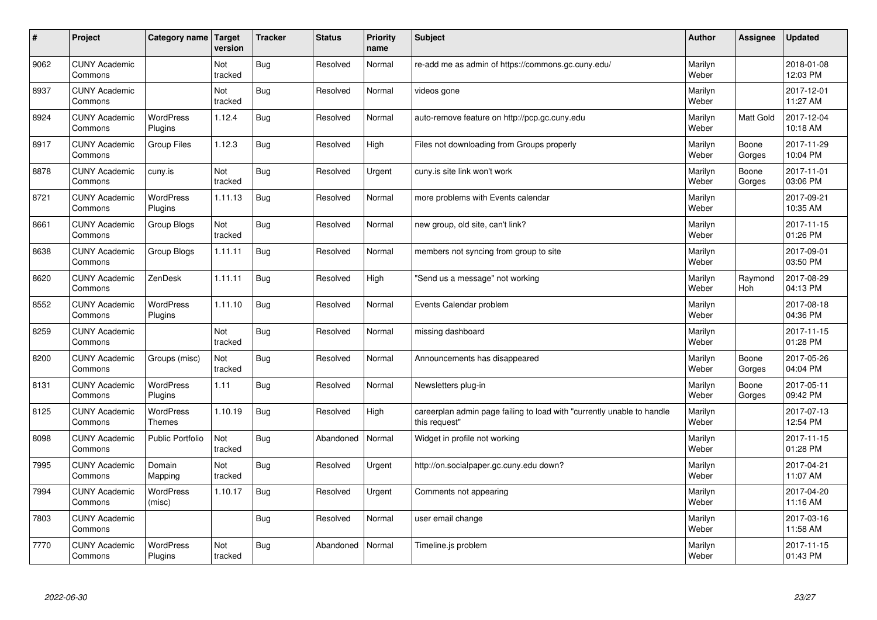| #    | Project                         | Category name                     | Target<br>version | <b>Tracker</b> | <b>Status</b> | <b>Priority</b><br>name | <b>Subject</b>                                                                          | <b>Author</b>    | Assignee              | <b>Updated</b>         |
|------|---------------------------------|-----------------------------------|-------------------|----------------|---------------|-------------------------|-----------------------------------------------------------------------------------------|------------------|-----------------------|------------------------|
| 9062 | <b>CUNY Academic</b><br>Commons |                                   | Not<br>tracked    | Bug            | Resolved      | Normal                  | re-add me as admin of https://commons.gc.cuny.edu/                                      | Marilyn<br>Weber |                       | 2018-01-08<br>12:03 PM |
| 8937 | <b>CUNY Academic</b><br>Commons |                                   | Not<br>tracked    | Bug            | Resolved      | Normal                  | videos gone                                                                             | Marilyn<br>Weber |                       | 2017-12-01<br>11:27 AM |
| 8924 | <b>CUNY Academic</b><br>Commons | <b>WordPress</b><br>Plugins       | 1.12.4            | Bug            | Resolved      | Normal                  | auto-remove feature on http://pcp.gc.cuny.edu                                           | Marilyn<br>Weber | <b>Matt Gold</b>      | 2017-12-04<br>10:18 AM |
| 8917 | <b>CUNY Academic</b><br>Commons | <b>Group Files</b>                | 1.12.3            | Bug            | Resolved      | High                    | Files not downloading from Groups properly                                              | Marilyn<br>Weber | Boone<br>Gorges       | 2017-11-29<br>10:04 PM |
| 8878 | <b>CUNY Academic</b><br>Commons | cuny.is                           | Not<br>tracked    | Bug            | Resolved      | Urgent                  | cuny is site link won't work                                                            | Marilyn<br>Weber | Boone<br>Gorges       | 2017-11-01<br>03:06 PM |
| 8721 | <b>CUNY Academic</b><br>Commons | WordPress<br>Plugins              | 1.11.13           | Bug            | Resolved      | Normal                  | more problems with Events calendar                                                      | Marilyn<br>Weber |                       | 2017-09-21<br>10:35 AM |
| 8661 | <b>CUNY Academic</b><br>Commons | Group Blogs                       | Not<br>tracked    | <b>Bug</b>     | Resolved      | Normal                  | new group, old site, can't link?                                                        | Marilyn<br>Weber |                       | 2017-11-15<br>01:26 PM |
| 8638 | <b>CUNY Academic</b><br>Commons | Group Blogs                       | 1.11.11           | Bug            | Resolved      | Normal                  | members not syncing from group to site                                                  | Marilyn<br>Weber |                       | 2017-09-01<br>03:50 PM |
| 8620 | <b>CUNY Academic</b><br>Commons | ZenDesk                           | 1.11.11           | Bug            | Resolved      | High                    | 'Send us a message" not working                                                         | Marilyn<br>Weber | Raymond<br><b>Hoh</b> | 2017-08-29<br>04:13 PM |
| 8552 | <b>CUNY Academic</b><br>Commons | WordPress<br>Plugins              | 1.11.10           | Bug            | Resolved      | Normal                  | Events Calendar problem                                                                 | Marilyn<br>Weber |                       | 2017-08-18<br>04:36 PM |
| 8259 | <b>CUNY Academic</b><br>Commons |                                   | Not<br>tracked    | <b>Bug</b>     | Resolved      | Normal                  | missing dashboard                                                                       | Marilyn<br>Weber |                       | 2017-11-15<br>01:28 PM |
| 8200 | <b>CUNY Academic</b><br>Commons | Groups (misc)                     | Not<br>tracked    | Bug            | Resolved      | Normal                  | Announcements has disappeared                                                           | Marilyn<br>Weber | Boone<br>Gorges       | 2017-05-26<br>04:04 PM |
| 8131 | <b>CUNY Academic</b><br>Commons | <b>WordPress</b><br>Plugins       | 1.11              | Bug            | Resolved      | Normal                  | Newsletters plug-in                                                                     | Marilyn<br>Weber | Boone<br>Gorges       | 2017-05-11<br>09:42 PM |
| 8125 | <b>CUNY Academic</b><br>Commons | <b>WordPress</b><br><b>Themes</b> | 1.10.19           | Bug            | Resolved      | High                    | careerplan admin page failing to load with "currently unable to handle<br>this request" | Marilyn<br>Weber |                       | 2017-07-13<br>12:54 PM |
| 8098 | <b>CUNY Academic</b><br>Commons | <b>Public Portfolio</b>           | Not<br>tracked    | <b>Bug</b>     | Abandoned     | Normal                  | Widget in profile not working                                                           | Marilyn<br>Weber |                       | 2017-11-15<br>01:28 PM |
| 7995 | <b>CUNY Academic</b><br>Commons | Domain<br>Mapping                 | Not<br>tracked    | <b>Bug</b>     | Resolved      | Urgent                  | http://on.socialpaper.gc.cuny.edu down?                                                 | Marilyn<br>Weber |                       | 2017-04-21<br>11:07 AM |
| 7994 | <b>CUNY Academic</b><br>Commons | WordPress<br>(misc)               | 1.10.17           | Bug            | Resolved      | Urgent                  | Comments not appearing                                                                  | Marilyn<br>Weber |                       | 2017-04-20<br>11:16 AM |
| 7803 | <b>CUNY Academic</b><br>Commons |                                   |                   | <b>Bug</b>     | Resolved      | Normal                  | user email change                                                                       | Marilyn<br>Weber |                       | 2017-03-16<br>11:58 AM |
| 7770 | <b>CUNY Academic</b><br>Commons | <b>WordPress</b><br>Plugins       | Not<br>tracked    | Bug            | Abandoned     | Normal                  | Timeline.js problem                                                                     | Marilyn<br>Weber |                       | 2017-11-15<br>01:43 PM |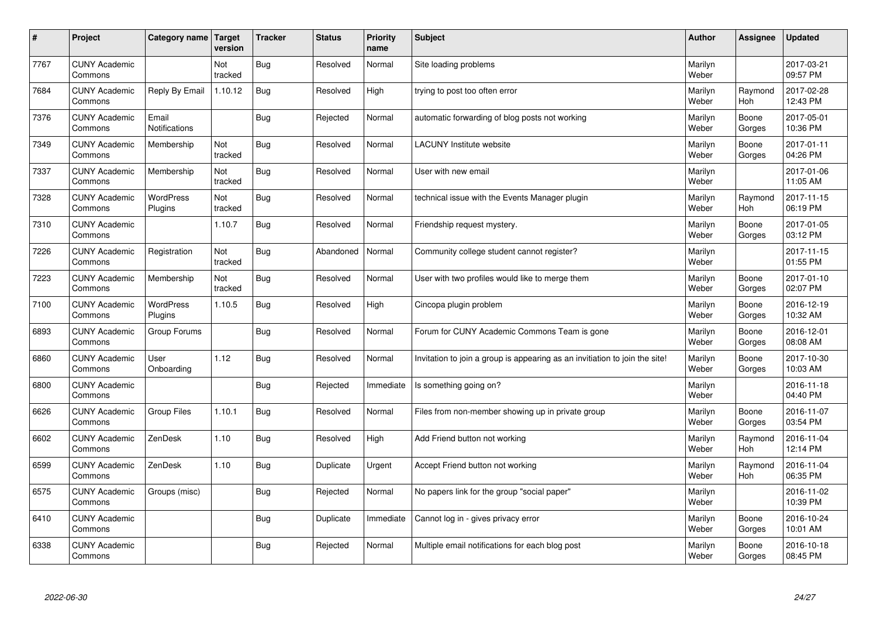| $\vert$ # | Project                         | Category name                 | <b>Target</b><br>version | <b>Tracker</b> | <b>Status</b> | <b>Priority</b><br>name | <b>Subject</b>                                                              | <b>Author</b>    | <b>Assignee</b>       | <b>Updated</b>         |
|-----------|---------------------------------|-------------------------------|--------------------------|----------------|---------------|-------------------------|-----------------------------------------------------------------------------|------------------|-----------------------|------------------------|
| 7767      | <b>CUNY Academic</b><br>Commons |                               | Not<br>tracked           | <b>Bug</b>     | Resolved      | Normal                  | Site loading problems                                                       | Marilyn<br>Weber |                       | 2017-03-21<br>09:57 PM |
| 7684      | <b>CUNY Academic</b><br>Commons | Reply By Email                | 1.10.12                  | Bug            | Resolved      | High                    | trying to post too often error                                              | Marilyn<br>Weber | Raymond<br><b>Hoh</b> | 2017-02-28<br>12:43 PM |
| 7376      | <b>CUNY Academic</b><br>Commons | Email<br><b>Notifications</b> |                          | <b>Bug</b>     | Rejected      | Normal                  | automatic forwarding of blog posts not working                              | Marilyn<br>Weber | Boone<br>Gorges       | 2017-05-01<br>10:36 PM |
| 7349      | <b>CUNY Academic</b><br>Commons | Membership                    | Not<br>tracked           | <b>Bug</b>     | Resolved      | Normal                  | <b>LACUNY Institute website</b>                                             | Marilyn<br>Weber | Boone<br>Gorges       | 2017-01-11<br>04:26 PM |
| 7337      | <b>CUNY Academic</b><br>Commons | Membership                    | Not<br>tracked           | <b>Bug</b>     | Resolved      | Normal                  | User with new email                                                         | Marilyn<br>Weber |                       | 2017-01-06<br>11:05 AM |
| 7328      | <b>CUNY Academic</b><br>Commons | WordPress<br>Plugins          | Not<br>tracked           | <b>Bug</b>     | Resolved      | Normal                  | technical issue with the Events Manager plugin                              | Marilyn<br>Weber | Raymond<br><b>Hoh</b> | 2017-11-15<br>06:19 PM |
| 7310      | <b>CUNY Academic</b><br>Commons |                               | 1.10.7                   | <b>Bug</b>     | Resolved      | Normal                  | Friendship request mystery.                                                 | Marilyn<br>Weber | Boone<br>Gorges       | 2017-01-05<br>03:12 PM |
| 7226      | <b>CUNY Academic</b><br>Commons | Registration                  | Not<br>tracked           | Bug            | Abandoned     | Normal                  | Community college student cannot register?                                  | Marilyn<br>Weber |                       | 2017-11-15<br>01:55 PM |
| 7223      | <b>CUNY Academic</b><br>Commons | Membership                    | Not<br>tracked           | Bug            | Resolved      | Normal                  | User with two profiles would like to merge them                             | Marilyn<br>Weber | Boone<br>Gorges       | 2017-01-10<br>02:07 PM |
| 7100      | <b>CUNY Academic</b><br>Commons | WordPress<br>Plugins          | 1.10.5                   | Bug            | Resolved      | High                    | Cincopa plugin problem                                                      | Marilyn<br>Weber | Boone<br>Gorges       | 2016-12-19<br>10:32 AM |
| 6893      | <b>CUNY Academic</b><br>Commons | Group Forums                  |                          | <b>Bug</b>     | Resolved      | Normal                  | Forum for CUNY Academic Commons Team is gone                                | Marilyn<br>Weber | Boone<br>Gorges       | 2016-12-01<br>08:08 AM |
| 6860      | <b>CUNY Academic</b><br>Commons | User<br>Onboarding            | 1.12                     | Bug            | Resolved      | Normal                  | Invitation to join a group is appearing as an invitiation to join the site! | Marilyn<br>Weber | Boone<br>Gorges       | 2017-10-30<br>10:03 AM |
| 6800      | <b>CUNY Academic</b><br>Commons |                               |                          | <b>Bug</b>     | Rejected      | Immediate               | Is something going on?                                                      | Marilyn<br>Weber |                       | 2016-11-18<br>04:40 PM |
| 6626      | <b>CUNY Academic</b><br>Commons | <b>Group Files</b>            | 1.10.1                   | <b>Bug</b>     | Resolved      | Normal                  | Files from non-member showing up in private group                           | Marilyn<br>Weber | Boone<br>Gorges       | 2016-11-07<br>03:54 PM |
| 6602      | <b>CUNY Academic</b><br>Commons | ZenDesk                       | 1.10                     | <b>Bug</b>     | Resolved      | High                    | Add Friend button not working                                               | Marilyn<br>Weber | Raymond<br>Hoh        | 2016-11-04<br>12:14 PM |
| 6599      | <b>CUNY Academic</b><br>Commons | ZenDesk                       | 1.10                     | Bug            | Duplicate     | Urgent                  | Accept Friend button not working                                            | Marilyn<br>Weber | Raymond<br><b>Hoh</b> | 2016-11-04<br>06:35 PM |
| 6575      | <b>CUNY Academic</b><br>Commons | Groups (misc)                 |                          | Bug            | Rejected      | Normal                  | No papers link for the group "social paper"                                 | Marilyn<br>Weber |                       | 2016-11-02<br>10:39 PM |
| 6410      | <b>CUNY Academic</b><br>Commons |                               |                          | <b>Bug</b>     | Duplicate     | Immediate               | Cannot log in - gives privacy error                                         | Marilyn<br>Weber | Boone<br>Gorges       | 2016-10-24<br>10:01 AM |
| 6338      | <b>CUNY Academic</b><br>Commons |                               |                          | Bug            | Rejected      | Normal                  | Multiple email notifications for each blog post                             | Marilyn<br>Weber | Boone<br>Gorges       | 2016-10-18<br>08:45 PM |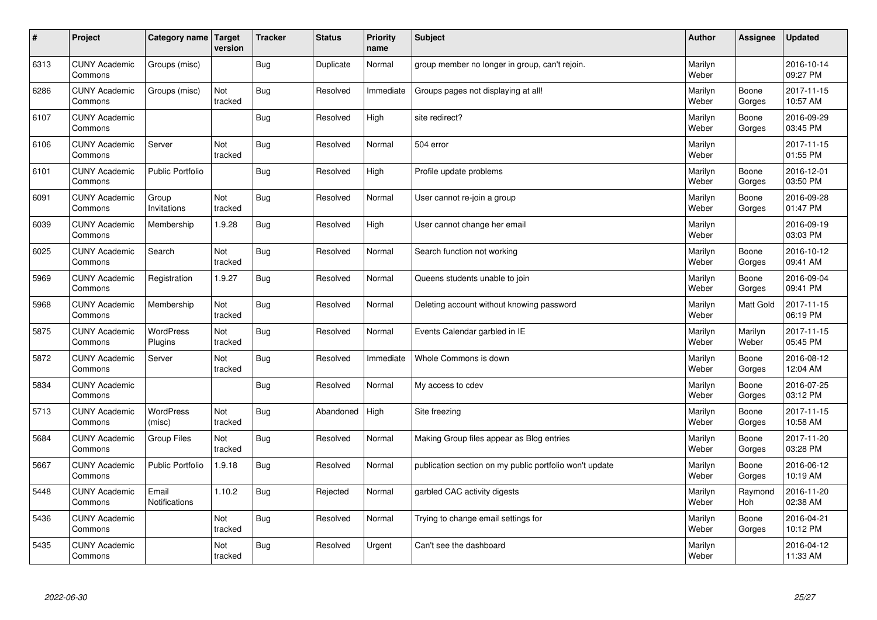| $\sharp$ | Project                         | Category name   Target        | version        | <b>Tracker</b> | <b>Status</b> | <b>Priority</b><br>name | <b>Subject</b>                                          | <b>Author</b>    | Assignee              | <b>Updated</b>         |
|----------|---------------------------------|-------------------------------|----------------|----------------|---------------|-------------------------|---------------------------------------------------------|------------------|-----------------------|------------------------|
| 6313     | <b>CUNY Academic</b><br>Commons | Groups (misc)                 |                | Bug            | Duplicate     | Normal                  | group member no longer in group, can't rejoin.          | Marilyn<br>Weber |                       | 2016-10-14<br>09:27 PM |
| 6286     | <b>CUNY Academic</b><br>Commons | Groups (misc)                 | Not<br>tracked | Bug            | Resolved      | Immediate               | Groups pages not displaying at all!                     | Marilyn<br>Weber | Boone<br>Gorges       | 2017-11-15<br>10:57 AM |
| 6107     | <b>CUNY Academic</b><br>Commons |                               |                | Bug            | Resolved      | High                    | site redirect?                                          | Marilyn<br>Weber | Boone<br>Gorges       | 2016-09-29<br>03:45 PM |
| 6106     | <b>CUNY Academic</b><br>Commons | Server                        | Not<br>tracked | <b>Bug</b>     | Resolved      | Normal                  | 504 error                                               | Marilyn<br>Weber |                       | 2017-11-15<br>01:55 PM |
| 6101     | <b>CUNY Academic</b><br>Commons | <b>Public Portfolio</b>       |                | Bug            | Resolved      | High                    | Profile update problems                                 | Marilyn<br>Weber | Boone<br>Gorges       | 2016-12-01<br>03:50 PM |
| 6091     | <b>CUNY Academic</b><br>Commons | Group<br>Invitations          | Not<br>tracked | <b>Bug</b>     | Resolved      | Normal                  | User cannot re-join a group                             | Marilyn<br>Weber | Boone<br>Gorges       | 2016-09-28<br>01:47 PM |
| 6039     | <b>CUNY Academic</b><br>Commons | Membership                    | 1.9.28         | Bug            | Resolved      | High                    | User cannot change her email                            | Marilyn<br>Weber |                       | 2016-09-19<br>03:03 PM |
| 6025     | <b>CUNY Academic</b><br>Commons | Search                        | Not<br>tracked | Bug            | Resolved      | Normal                  | Search function not working                             | Marilyn<br>Weber | Boone<br>Gorges       | 2016-10-12<br>09:41 AM |
| 5969     | <b>CUNY Academic</b><br>Commons | Registration                  | 1.9.27         | Bug            | Resolved      | Normal                  | Queens students unable to join                          | Marilyn<br>Weber | Boone<br>Gorges       | 2016-09-04<br>09:41 PM |
| 5968     | <b>CUNY Academic</b><br>Commons | Membership                    | Not<br>tracked | Bug            | Resolved      | Normal                  | Deleting account without knowing password               | Marilyn<br>Weber | <b>Matt Gold</b>      | 2017-11-15<br>06:19 PM |
| 5875     | <b>CUNY Academic</b><br>Commons | <b>WordPress</b><br>Plugins   | Not<br>tracked | Bug            | Resolved      | Normal                  | Events Calendar garbled in IE                           | Marilyn<br>Weber | Marilyn<br>Weber      | 2017-11-15<br>05:45 PM |
| 5872     | <b>CUNY Academic</b><br>Commons | Server                        | Not<br>tracked | Bug            | Resolved      | Immediate               | Whole Commons is down                                   | Marilyn<br>Weber | Boone<br>Gorges       | 2016-08-12<br>12:04 AM |
| 5834     | <b>CUNY Academic</b><br>Commons |                               |                | Bug            | Resolved      | Normal                  | My access to cdev                                       | Marilyn<br>Weber | Boone<br>Gorges       | 2016-07-25<br>03:12 PM |
| 5713     | <b>CUNY Academic</b><br>Commons | WordPress<br>(misc)           | Not<br>tracked | Bug            | Abandoned     | High                    | Site freezing                                           | Marilyn<br>Weber | Boone<br>Gorges       | 2017-11-15<br>10:58 AM |
| 5684     | <b>CUNY Academic</b><br>Commons | Group Files                   | Not<br>tracked | <b>Bug</b>     | Resolved      | Normal                  | Making Group files appear as Blog entries               | Marilyn<br>Weber | Boone<br>Gorges       | 2017-11-20<br>03:28 PM |
| 5667     | <b>CUNY Academic</b><br>Commons | <b>Public Portfolio</b>       | 1.9.18         | Bug            | Resolved      | Normal                  | publication section on my public portfolio won't update | Marilyn<br>Weber | Boone<br>Gorges       | 2016-06-12<br>10:19 AM |
| 5448     | <b>CUNY Academic</b><br>Commons | Email<br><b>Notifications</b> | 1.10.2         | Bug            | Rejected      | Normal                  | garbled CAC activity digests                            | Marilyn<br>Weber | Raymond<br><b>Hoh</b> | 2016-11-20<br>02:38 AM |
| 5436     | <b>CUNY Academic</b><br>Commons |                               | Not<br>tracked | Bug            | Resolved      | Normal                  | Trying to change email settings for                     | Marilyn<br>Weber | Boone<br>Gorges       | 2016-04-21<br>10:12 PM |
| 5435     | <b>CUNY Academic</b><br>Commons |                               | Not<br>tracked | Bug            | Resolved      | Urgent                  | Can't see the dashboard                                 | Marilyn<br>Weber |                       | 2016-04-12<br>11:33 AM |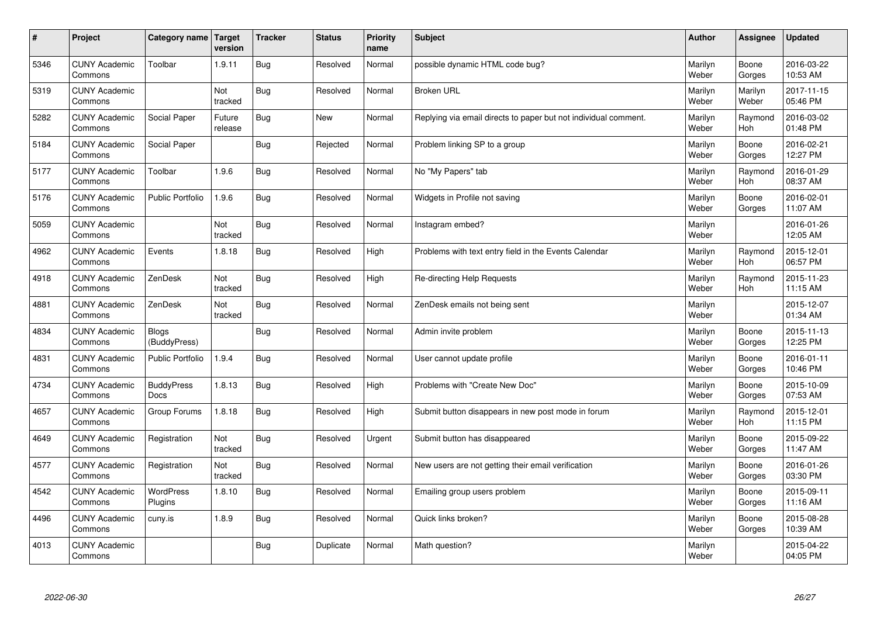| $\sharp$ | Project                         | Category name   Target           | version           | <b>Tracker</b> | <b>Status</b> | <b>Priority</b><br>name | <b>Subject</b>                                                  | <b>Author</b>    | Assignee              | <b>Updated</b>         |
|----------|---------------------------------|----------------------------------|-------------------|----------------|---------------|-------------------------|-----------------------------------------------------------------|------------------|-----------------------|------------------------|
| 5346     | <b>CUNY Academic</b><br>Commons | Toolbar                          | 1.9.11            | Bug            | Resolved      | Normal                  | possible dynamic HTML code bug?                                 | Marilyn<br>Weber | Boone<br>Gorges       | 2016-03-22<br>10:53 AM |
| 5319     | <b>CUNY Academic</b><br>Commons |                                  | Not<br>tracked    | Bug            | Resolved      | Normal                  | <b>Broken URL</b>                                               | Marilyn<br>Weber | Marilyn<br>Weber      | 2017-11-15<br>05:46 PM |
| 5282     | <b>CUNY Academic</b><br>Commons | Social Paper                     | Future<br>release | Bug            | New           | Normal                  | Replying via email directs to paper but not individual comment. | Marilyn<br>Weber | Raymond<br>Hoh        | 2016-03-02<br>01:48 PM |
| 5184     | <b>CUNY Academic</b><br>Commons | Social Paper                     |                   | <b>Bug</b>     | Rejected      | Normal                  | Problem linking SP to a group                                   | Marilyn<br>Weber | Boone<br>Gorges       | 2016-02-21<br>12:27 PM |
| 5177     | <b>CUNY Academic</b><br>Commons | Toolbar                          | 1.9.6             | Bug            | Resolved      | Normal                  | No "My Papers" tab                                              | Marilyn<br>Weber | Raymond<br><b>Hoh</b> | 2016-01-29<br>08:37 AM |
| 5176     | <b>CUNY Academic</b><br>Commons | <b>Public Portfolio</b>          | 1.9.6             | Bug            | Resolved      | Normal                  | Widgets in Profile not saving                                   | Marilyn<br>Weber | Boone<br>Gorges       | 2016-02-01<br>11:07 AM |
| 5059     | <b>CUNY Academic</b><br>Commons |                                  | Not<br>tracked    | <b>Bug</b>     | Resolved      | Normal                  | Instagram embed?                                                | Marilyn<br>Weber |                       | 2016-01-26<br>12:05 AM |
| 4962     | <b>CUNY Academic</b><br>Commons | Events                           | 1.8.18            | Bug            | Resolved      | High                    | Problems with text entry field in the Events Calendar           | Marilyn<br>Weber | Raymond<br>Hoh        | 2015-12-01<br>06:57 PM |
| 4918     | <b>CUNY Academic</b><br>Commons | ZenDesk                          | Not<br>tracked    | Bug            | Resolved      | High                    | Re-directing Help Requests                                      | Marilyn<br>Weber | Raymond<br><b>Hoh</b> | 2015-11-23<br>11:15 AM |
| 4881     | <b>CUNY Academic</b><br>Commons | ZenDesk                          | Not<br>tracked    | <b>Bug</b>     | Resolved      | Normal                  | ZenDesk emails not being sent                                   | Marilyn<br>Weber |                       | 2015-12-07<br>01:34 AM |
| 4834     | <b>CUNY Academic</b><br>Commons | <b>Blogs</b><br>(BuddyPress)     |                   | <b>Bug</b>     | Resolved      | Normal                  | Admin invite problem                                            | Marilyn<br>Weber | Boone<br>Gorges       | 2015-11-13<br>12:25 PM |
| 4831     | <b>CUNY Academic</b><br>Commons | <b>Public Portfolio</b>          | 1.9.4             | Bug            | Resolved      | Normal                  | User cannot update profile                                      | Marilyn<br>Weber | Boone<br>Gorges       | 2016-01-11<br>10:46 PM |
| 4734     | <b>CUNY Academic</b><br>Commons | <b>BuddyPress</b><br><b>Docs</b> | 1.8.13            | Bug            | Resolved      | High                    | Problems with "Create New Doc"                                  | Marilyn<br>Weber | Boone<br>Gorges       | 2015-10-09<br>07:53 AM |
| 4657     | <b>CUNY Academic</b><br>Commons | Group Forums                     | 1.8.18            | <b>Bug</b>     | Resolved      | High                    | Submit button disappears in new post mode in forum              | Marilyn<br>Weber | Raymond<br><b>Hoh</b> | 2015-12-01<br>11:15 PM |
| 4649     | <b>CUNY Academic</b><br>Commons | Registration                     | Not<br>tracked    | Bug            | Resolved      | Urgent                  | Submit button has disappeared                                   | Marilyn<br>Weber | Boone<br>Gorges       | 2015-09-22<br>11:47 AM |
| 4577     | <b>CUNY Academic</b><br>Commons | Registration                     | Not<br>tracked    | Bug            | Resolved      | Normal                  | New users are not getting their email verification              | Marilyn<br>Weber | Boone<br>Gorges       | 2016-01-26<br>03:30 PM |
| 4542     | <b>CUNY Academic</b><br>Commons | WordPress<br>Plugins             | 1.8.10            | Bug            | Resolved      | Normal                  | Emailing group users problem                                    | Marilyn<br>Weber | Boone<br>Gorges       | 2015-09-11<br>11:16 AM |
| 4496     | <b>CUNY Academic</b><br>Commons | cuny.is                          | 1.8.9             | Bug            | Resolved      | Normal                  | Quick links broken?                                             | Marilyn<br>Weber | Boone<br>Gorges       | 2015-08-28<br>10:39 AM |
| 4013     | <b>CUNY Academic</b><br>Commons |                                  |                   | Bug            | Duplicate     | Normal                  | Math question?                                                  | Marilyn<br>Weber |                       | 2015-04-22<br>04:05 PM |